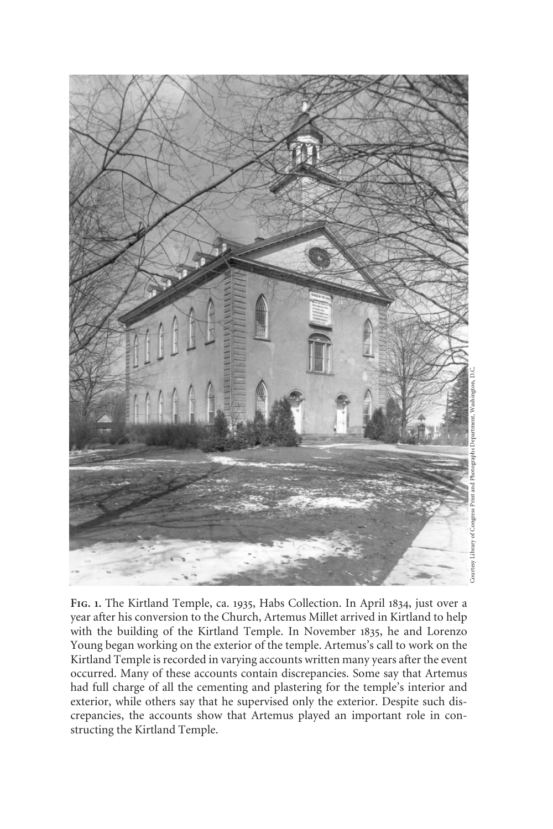

FIG. 1. The Kirtland Temple, ca. 1935, Habs Collection. In April 1834, just over a year after his conversion to the Church, Artemus Millet arrived in Kirtland to help with the building of the Kirtland Temple. In November 1835, he and Lorenzo Young began working on the exterior of the temple. Artemus's call to work on the Kirtland Temple is recorded in varying accounts written many years after the event occurred. Many of these accounts contain discrepancies. Some say that Artemus had full charge of all the cementing and plastering for the temple's interior and exterior, while others say that he supervised only the exterior. Despite such discrepancies, the accounts show that Artemus played an important role in constructing the Kirtland Temple.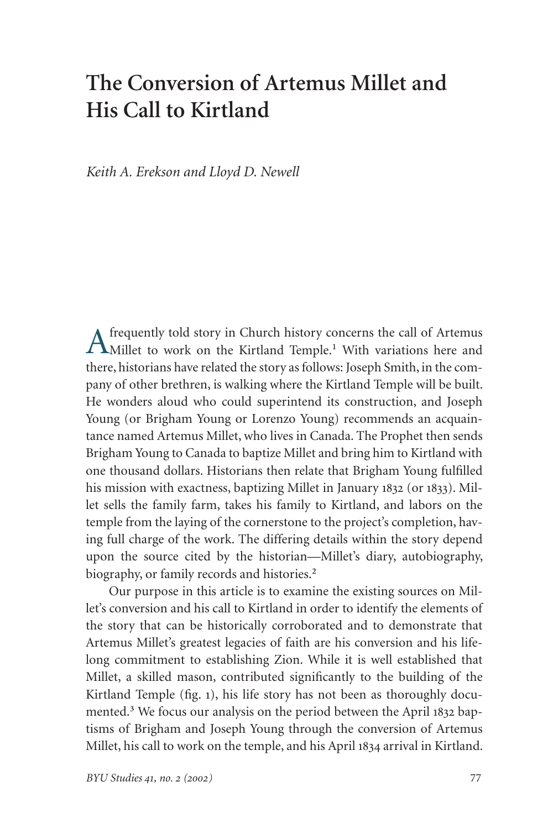# **The Conversion of Artemus Millet and His Call to Kirtland**

*Keith A. Erekson and Lloyd D. Newell*

Afrequently told story in Church history concerns the call of Artemus<br>Millet to work on the Kirtland Temple.<sup>1</sup> With variations here and there, historians have related the story as follows: Joseph Smith, in the company of other brethren, is walking where the Kirtland Temple will be built. He wonders aloud who could superintend its construction, and Joseph Young (or Brigham Young or Lorenzo Young) recommends an acquaintance named Artemus Millet, who lives in Canada. The Prophet then sends Brigham Young to Canada to baptize Millet and bring him to Kirtland with one thousand dollars. Historians then relate that Brigham Young fulfilled his mission with exactness, baptizing Millet in January  $1832$  (or  $1833$ ). Millet sells the family farm, takes his family to Kirtland, and labors on the temple from the laying of the cornerstone to the project's completion, having full charge of the work. The differing details within the story depend upon the source cited by the historian—Millet's diary, autobiography, biography, or family records and histories. ₂

Our purpose in this article is to examine the existing sources on Millet's conversion and his call to Kirtland in order to identify the elements of the story that can be historically corroborated and to demonstrate that Artemus Millet's greatest legacies of faith are his conversion and his lifelong commitment to establishing Zion. While it is well established that Millet, a skilled mason, contributed significantly to the building of the Kirtland Temple (fig. ), his life story has not been as thoroughly documented.<sup>3</sup> We focus our analysis on the period between the April 1832 baptisms of Brigham and Joseph Young through the conversion of Artemus Millet, his call to work on the temple, and his April 1834 arrival in Kirtland.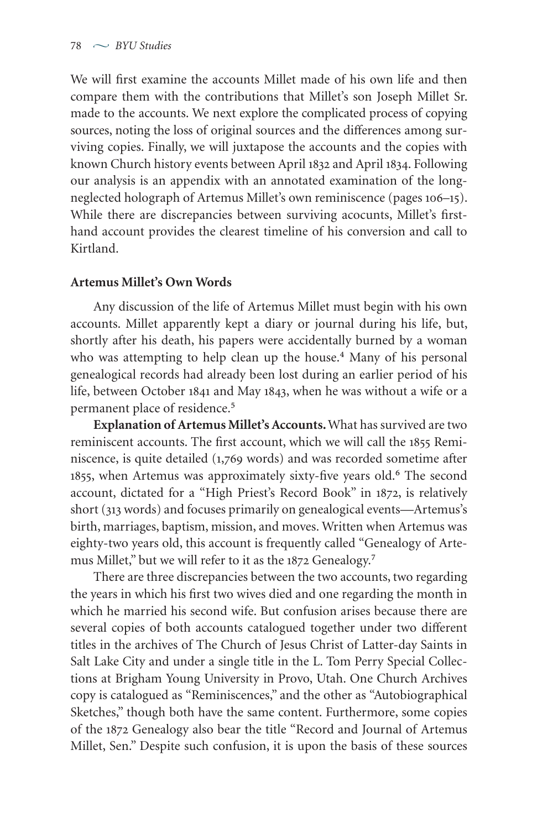We will first examine the accounts Millet made of his own life and then compare them with the contributions that Millet's son Joseph Millet Sr. made to the accounts. We next explore the complicated process of copying sources, noting the loss of original sources and the differences among surviving copies. Finally, we will juxtapose the accounts and the copies with known Church history events between April 1832 and April 1834. Following our analysis is an appendix with an annotated examination of the longneglected holograph of Artemus Millet's own reminiscence (pages 106-15). While there are discrepancies between surviving acocunts, Millet's firsthand account provides the clearest timeline of his conversion and call to Kirtland.

## **Artemus Millet's Own Words**

Any discussion of the life of Artemus Millet must begin with his own accounts. Millet apparently kept a diary or journal during his life, but, shortly after his death, his papers were accidentally burned by a woman who was attempting to help clean up the house.<sup>4</sup> Many of his personal genealogical records had already been lost during an earlier period of his life, between October 1841 and May 1843, when he was without a wife or a permanent place of residence.<sup>5</sup>

**Explanation of Artemus Millet's Accounts.** What has survived are two reminiscent accounts. The first account, which we will call the 1855 Reminiscence, is quite detailed  $(1,769 \text{ words})$  and was recorded sometime after 1855, when Artemus was approximately sixty-five years old.<sup>6</sup> The second account, dictated for a "High Priest's Record Book" in 1872, is relatively short (313 words) and focuses primarily on genealogical events—Artemus's birth, marriages, baptism, mission, and moves. Written when Artemus was eighty-two years old, this account is frequently called "Genealogy of Artemus Millet," but we will refer to it as the 1872 Genealogy.<sup>7</sup>

There are three discrepancies between the two accounts, two regarding the years in which his first two wives died and one regarding the month in which he married his second wife. But confusion arises because there are several copies of both accounts catalogued together under two different titles in the archives of The Church of Jesus Christ of Latter-day Saints in Salt Lake City and under a single title in the L. Tom Perry Special Collections at Brigham Young University in Provo, Utah. One Church Archives copy is catalogued as "Reminiscences," and the other as "Autobiographical Sketches," though both have the same content. Furthermore, some copies of the 1872 Genealogy also bear the title "Record and Journal of Artemus Millet, Sen." Despite such confusion, it is upon the basis of these sources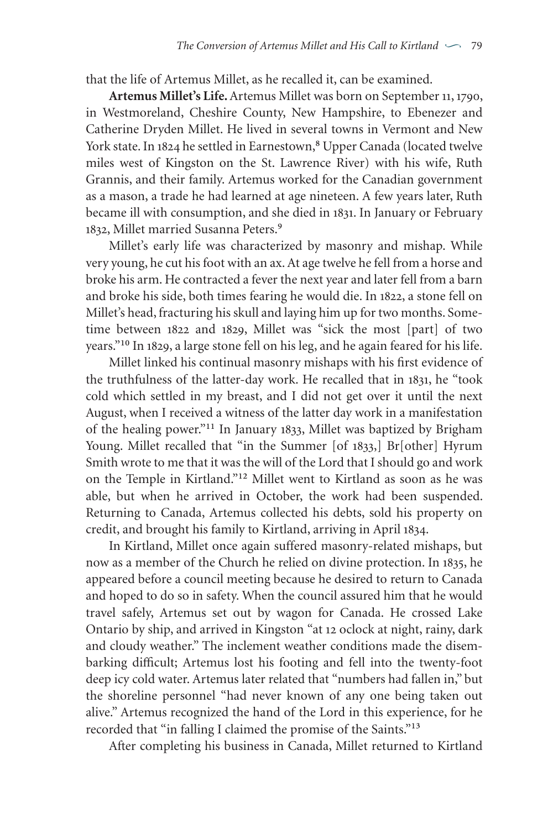that the life of Artemus Millet, as he recalled it, can be examined.

Artemus Millet's Life. Artemus Millet was born on September 11, 1790, in Westmoreland, Cheshire County, New Hampshire, to Ebenezer and Catherine Dryden Millet. He lived in several towns in Vermont and New York state. In 1824 he settled in Earnestown,<sup>8</sup> Upper Canada (located twelve miles west of Kingston on the St. Lawrence River) with his wife, Ruth Grannis, and their family. Artemus worked for the Canadian government as a mason, a trade he had learned at age nineteen. A few years later, Ruth became ill with consumption, and she died in 1831. In January or February 1832, Millet married Susanna Peters.<sup>9</sup>

Millet's early life was characterized by masonry and mishap. While very young, he cut his foot with an ax.At age twelve he fell from a horse and broke his arm. He contracted a fever the next year and later fell from a barn and broke his side, both times fearing he would die. In 1822, a stone fell on Millet's head, fracturing his skull and laying him up for two months. Sometime between 1822 and 1829, Millet was "sick the most [part] of two years."<sup>10</sup> In 1829, a large stone fell on his leg, and he again feared for his life.

Millet linked his continual masonry mishaps with his first evidence of the truthfulness of the latter-day work. He recalled that in 1831, he "took cold which settled in my breast, and I did not get over it until the next August, when I received a witness of the latter day work in a manifestation of the healing power."<sup>11</sup> In January 1833, Millet was baptized by Brigham Young. Millet recalled that "in the Summer [of 1833,] Br[other] Hyrum Smith wrote to me that it was the will of the Lord that I should go and work on the Temple in Kirtland."<sup>12</sup> Millet went to Kirtland as soon as he was able, but when he arrived in October, the work had been suspended. Returning to Canada, Artemus collected his debts, sold his property on credit, and brought his family to Kirtland, arriving in April 1834.

In Kirtland, Millet once again suffered masonry-related mishaps, but now as a member of the Church he relied on divine protection. In 1835, he appeared before a council meeting because he desired to return to Canada and hoped to do so in safety. When the council assured him that he would travel safely, Artemus set out by wagon for Canada. He crossed Lake Ontario by ship, and arrived in Kingston "at 12 oclock at night, rainy, dark and cloudy weather." The inclement weather conditions made the disembarking difficult; Artemus lost his footing and fell into the twenty-foot deep icy cold water. Artemus later related that "numbers had fallen in," but the shoreline personnel "had never known of any one being taken out alive." Artemus recognized the hand of the Lord in this experience, for he recorded that "in falling I claimed the promise of the Saints."<sup>13</sup>

After completing his business in Canada, Millet returned to Kirtland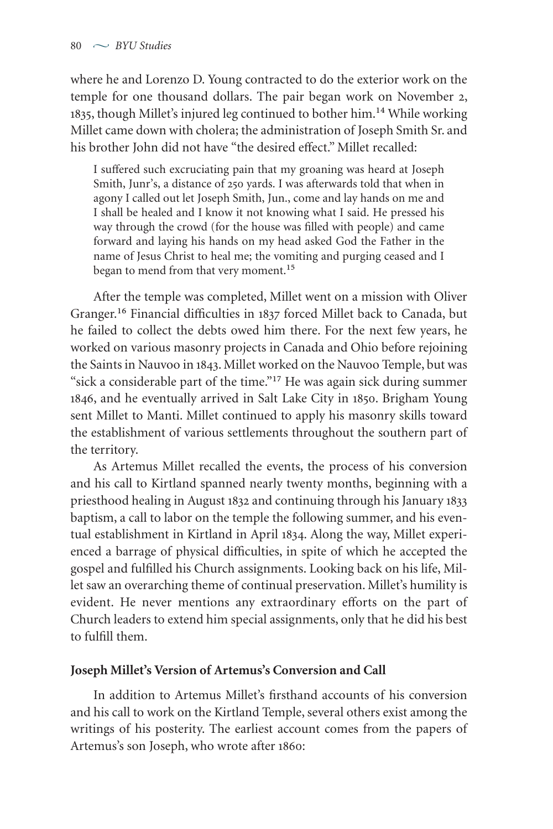where he and Lorenzo D. Young contracted to do the exterior work on the temple for one thousand dollars. The pair began work on November 2, 1835, though Millet's injured leg continued to bother him.<sup>14</sup> While working Millet came down with cholera; the administration of Joseph Smith Sr. and his brother John did not have "the desired effect." Millet recalled:

I suffered such excruciating pain that my groaning was heard at Joseph Smith, Junr's, a distance of 250 yards. I was afterwards told that when in agony I called out let Joseph Smith, Jun., come and lay hands on me and I shall be healed and I know it not knowing what I said. He pressed his way through the crowd (for the house was filled with people) and came forward and laying his hands on my head asked God the Father in the name of Jesus Christ to heal me; the vomiting and purging ceased and I hegan to mend from that very moment.<sup>15</sup>

After the temple was completed, Millet went on a mission with Oliver Granger.<sup>16</sup> Financial difficulties in 1837 forced Millet back to Canada, but he failed to collect the debts owed him there. For the next few years, he worked on various masonry projects in Canada and Ohio before rejoining the Saints in Nauvoo in 1843. Millet worked on the Nauvoo Temple, but was "sick a considerable part of the time."<sup>17</sup> He was again sick during summer 1846, and he eventually arrived in Salt Lake City in 1850. Brigham Young sent Millet to Manti. Millet continued to apply his masonry skills toward the establishment of various settlements throughout the southern part of the territory.

As Artemus Millet recalled the events, the process of his conversion and his call to Kirtland spanned nearly twenty months, beginning with a priesthood healing in August 1832 and continuing through his January 1833 baptism, a call to labor on the temple the following summer, and his eventual establishment in Kirtland in April 1834. Along the way, Millet experienced a barrage of physical difficulties, in spite of which he accepted the gospel and fulfilled his Church assignments. Looking back on his life, Millet saw an overarching theme of continual preservation. Millet's humility is evident. He never mentions any extraordinary efforts on the part of Church leaders to extend him special assignments, only that he did his best to fulfill them.

### **Joseph Millet's Version of Artemus's Conversion and Call**

In addition to Artemus Millet's firsthand accounts of his conversion and his call to work on the Kirtland Temple, several others exist among the writings of his posterity. The earliest account comes from the papers of Artemus's son Joseph, who wrote after 1860: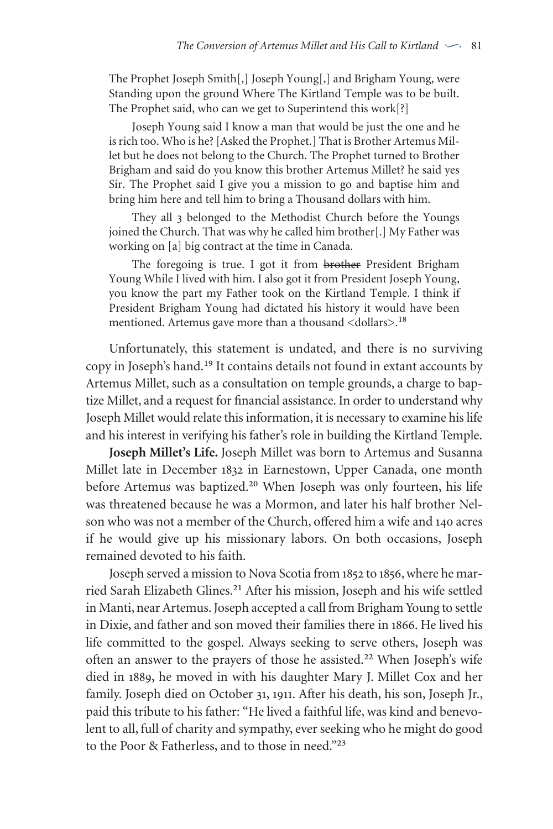The Prophet Joseph Smith[,] Joseph Young[,] and Brigham Young, were Standing upon the ground Where The Kirtland Temple was to be built. The Prophet said, who can we get to Superintend this work[?]

Joseph Young said I know a man that would be just the one and he is rich too. Who is he? [Asked the Prophet.] That is Brother Artemus Millet but he does not belong to the Church. The Prophet turned to Brother Brigham and said do you know this brother Artemus Millet? he said yes Sir. The Prophet said I give you a mission to go and baptise him and bring him here and tell him to bring a Thousand dollars with him.

They all 3 belonged to the Methodist Church before the Youngs joined the Church. That was why he called him brother[.] My Father was working on [a] big contract at the time in Canada.

The foregoing is true. I got it from brother President Brigham Young While I lived with him. I also got it from President Joseph Young, you know the part my Father took on the Kirtland Temple. I think if President Brigham Young had dictated his history it would have been mentioned. Artemus gave more than a thousand <dollars>.<sup>18</sup>

Unfortunately, this statement is undated, and there is no surviving copy in Joseph's hand.<sup>19</sup> It contains details not found in extant accounts by Artemus Millet, such as a consultation on temple grounds, a charge to baptize Millet, and a request for financial assistance. In order to understand why Joseph Millet would relate this information, it is necessary to examine his life and his interest in verifying his father's role in building the Kirtland Temple.

**Joseph Millet's Life.** Joseph Millet was born to Artemus and Susanna Millet late in December 1832 in Earnestown, Upper Canada, one month before Artemus was baptized.<sup>20</sup> When Joseph was only fourteen, his life was threatened because he was a Mormon, and later his half brother Nelson who was not a member of the Church, offered him a wife and 140 acres if he would give up his missionary labors. On both occasions, Joseph remained devoted to his faith.

Joseph served a mission to Nova Scotia from 1852 to 1856, where he married Sarah Elizabeth Glines.<sup>21</sup> After his mission, Joseph and his wife settled in Manti, near Artemus. Joseph accepted a call from Brigham Young to settle in Dixie, and father and son moved their families there in 1866. He lived his life committed to the gospel. Always seeking to serve others, Joseph was often an answer to the prayers of those he assisted.<sup>22</sup> When Joseph's wife died in 1889, he moved in with his daughter Mary J. Millet Cox and her family. Joseph died on October 31, 1911. After his death, his son, Joseph Jr., paid this tribute to his father: "He lived a faithful life, was kind and benevolent to all, full of charity and sympathy, ever seeking who he might do good to the Poor & Fatherless, and to those in need."23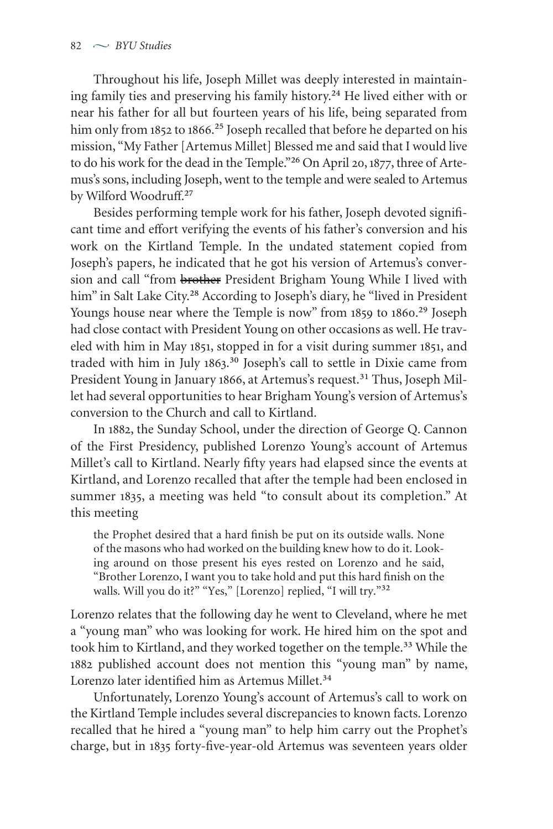Throughout his life, Joseph Millet was deeply interested in maintaining family ties and preserving his family history.<sup>24</sup> He lived either with or near his father for all but fourteen years of his life, being separated from him only from 1852 to 1866.<sup>25</sup> Joseph recalled that before he departed on his mission, "My Father [Artemus Millet] Blessed me and said that I would live to do his work for the dead in the Temple."<sup>26</sup> On April 20, 1877, three of Artemus's sons, including Joseph, went to the temple and were sealed to Artemus by Wilford Woodruff.<sup>27</sup>

Besides performing temple work for his father, Joseph devoted significant time and effort verifying the events of his father's conversion and his work on the Kirtland Temple. In the undated statement copied from Joseph's papers, he indicated that he got his version of Artemus's conversion and call "from brother President Brigham Young While I lived with him" in Salt Lake City.<sup>28</sup> According to Joseph's diary, he "lived in President Youngs house near where the Temple is now" from 1859 to 1860.<sup>29</sup> Joseph had close contact with President Young on other occasions as well. He traveled with him in May 1851, stopped in for a visit during summer 1851, and traded with him in July 1863.<sup>30</sup> Joseph's call to settle in Dixie came from President Young in January 1866, at Artemus's request.<sup>31</sup> Thus, Joseph Millet had several opportunities to hear Brigham Young's version of Artemus's conversion to the Church and call to Kirtland.

In 1882, the Sunday School, under the direction of George Q. Cannon of the First Presidency, published Lorenzo Young's account of Artemus Millet's call to Kirtland. Nearly fifty years had elapsed since the events at Kirtland, and Lorenzo recalled that after the temple had been enclosed in summer 1835, a meeting was held "to consult about its completion." At this meeting

the Prophet desired that a hard finish be put on its outside walls. None of the masons who had worked on the building knew how to do it. Looking around on those present his eyes rested on Lorenzo and he said, "Brother Lorenzo, I want you to take hold and put this hard finish on the walls. Will you do it?" "Yes," [Lorenzo] replied, "I will try."32

Lorenzo relates that the following day he went to Cleveland, where he met a "young man" who was looking for work. He hired him on the spot and took him to Kirtland, and they worked together on the temple.<sup>33</sup> While the 1882 published account does not mention this "young man" by name, Lorenzo later identified him as Artemus Millet.<sup>34</sup>

Unfortunately, Lorenzo Young's account of Artemus's call to work on the Kirtland Temple includes several discrepancies to known facts. Lorenzo recalled that he hired a "young man" to help him carry out the Prophet's charge, but in 1835 forty-five-year-old Artemus was seventeen years older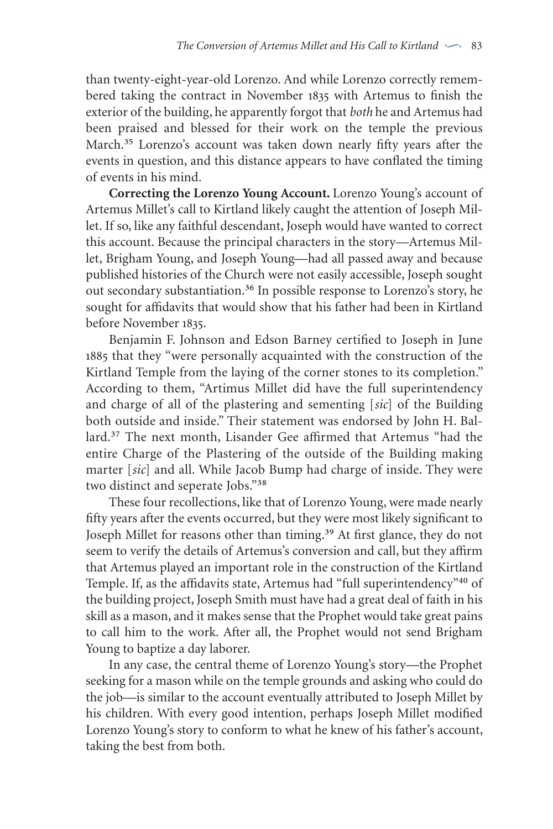than twenty-eight-year-old Lorenzo. And while Lorenzo correctly remembered taking the contract in November 1835 with Artemus to finish the exterior of the building, he apparently forgot that *both* he and Artemus had been praised and blessed for their work on the temple the previous March.<sup>35</sup> Lorenzo's account was taken down nearly fifty years after the events in question, and this distance appears to have conflated the timing of events in his mind.

**Correcting the Lorenzo Young Account.** Lorenzo Young's account of Artemus Millet's call to Kirtland likely caught the attention of Joseph Millet. If so, like any faithful descendant, Joseph would have wanted to correct this account. Because the principal characters in the story—Artemus Millet, Brigham Young, and Joseph Young—had all passed away and because published histories of the Church were not easily accessible, Joseph sought out secondary substantiation.<sup>36</sup> In possible response to Lorenzo's story, he sought for affidavits that would show that his father had been in Kirtland before November 1835.

Benjamin F. Johnson and Edson Barney certified to Joseph in June 1885 that they "were personally acquainted with the construction of the Kirtland Temple from the laying of the corner stones to its completion." According to them, "Artimus Millet did have the full superintendency and charge of all of the plastering and sementing [*sic*] of the Building both outside and inside." Their statement was endorsed by John H. Ballard.<sup>37</sup> The next month, Lisander Gee affirmed that Artemus "had the entire Charge of the Plastering of the outside of the Building making marter [*sic*] and all. While Jacob Bump had charge of inside. They were two distinct and seperate Jobs."<sup>38</sup>

These four recollections, like that of Lorenzo Young, were made nearly fifty years after the events occurred, but they were most likely significant to Joseph Millet for reasons other than timing.<sup>39</sup> At first glance, they do not seem to verify the details of Artemus's conversion and call, but they affirm that Artemus played an important role in the construction of the Kirtland Temple. If, as the affidavits state, Artemus had "full superintendency"<sup>40</sup> of the building project, Joseph Smith must have had a great deal of faith in his skill as a mason, and it makes sense that the Prophet would take great pains to call him to the work. After all, the Prophet would not send Brigham Young to baptize a day laborer.

In any case, the central theme of Lorenzo Young's story—the Prophet seeking for a mason while on the temple grounds and asking who could do the job—is similar to the account eventually attributed to Joseph Millet by his children. With every good intention, perhaps Joseph Millet modified Lorenzo Young's story to conform to what he knew of his father's account, taking the best from both.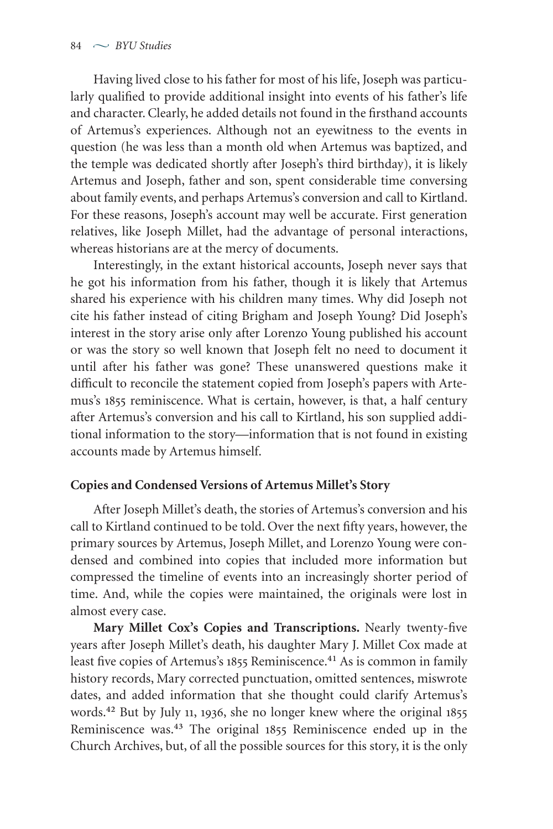Having lived close to his father for most of his life, Joseph was particularly qualified to provide additional insight into events of his father's life and character. Clearly, he added details not found in the firsthand accounts of Artemus's experiences. Although not an eyewitness to the events in question (he was less than a month old when Artemus was baptized, and the temple was dedicated shortly after Joseph's third birthday), it is likely Artemus and Joseph, father and son, spent considerable time conversing about family events, and perhaps Artemus's conversion and call to Kirtland. For these reasons, Joseph's account may well be accurate. First generation relatives, like Joseph Millet, had the advantage of personal interactions, whereas historians are at the mercy of documents.

Interestingly, in the extant historical accounts, Joseph never says that he got his information from his father, though it is likely that Artemus shared his experience with his children many times. Why did Joseph not cite his father instead of citing Brigham and Joseph Young? Did Joseph's interest in the story arise only after Lorenzo Young published his account or was the story so well known that Joseph felt no need to document it until after his father was gone? These unanswered questions make it difficult to reconcile the statement copied from Joseph's papers with Artemus's 1855 reminiscence. What is certain, however, is that, a half century after Artemus's conversion and his call to Kirtland, his son supplied additional information to the story—information that is not found in existing accounts made by Artemus himself.

### **Copies and Condensed Versions of Artemus Millet's Story**

After Joseph Millet's death, the stories of Artemus's conversion and his call to Kirtland continued to be told. Over the next fifty years, however, the primary sources by Artemus, Joseph Millet, and Lorenzo Young were condensed and combined into copies that included more information but compressed the timeline of events into an increasingly shorter period of time. And, while the copies were maintained, the originals were lost in almost every case.

**Mary Millet Cox's Copies and Transcriptions.** Nearly twenty-five years after Joseph Millet's death, his daughter Mary J. Millet Cox made at least five copies of Artemus's 1855 Reminiscence.<sup>41</sup> As is common in family history records, Mary corrected punctuation, omitted sentences, miswrote dates, and added information that she thought could clarify Artemus's words.<sup>42</sup> But by July 11, 1936, she no longer knew where the original 1855 Reminiscence was.<sup>43</sup> The original 1855 Reminiscence ended up in the Church Archives, but, of all the possible sources for this story, it is the only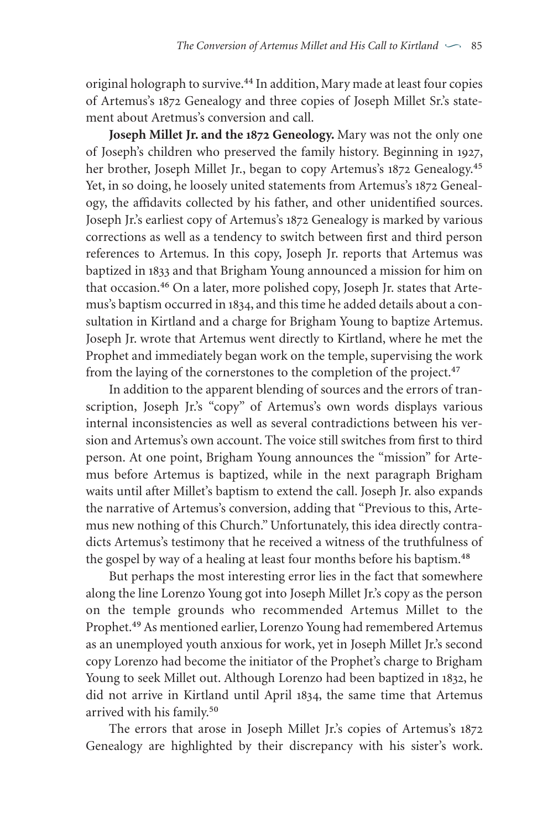original holograph to survive.<sup>44</sup> In addition, Mary made at least four copies of Artemus's 1872 Genealogy and three copies of Joseph Millet Sr.'s statement about Aretmus's conversion and call.

**Joseph Millet Jr. and the Geneology.** Mary was not the only one of Joseph's children who preserved the family history. Beginning in 1927, her brother, Joseph Millet Jr., began to copy Artemus's 1872 Genealogy.<sup>45</sup> Yet, in so doing, he loosely united statements from Artemus's 1872 Genealogy, the affidavits collected by his father, and other unidentified sources. Joseph Jr.'s earliest copy of Artemus's 1872 Genealogy is marked by various corrections as well as a tendency to switch between first and third person references to Artemus. In this copy, Joseph Jr. reports that Artemus was baptized in 1833 and that Brigham Young announced a mission for him on that occasion.<sup>46</sup> On a later, more polished copy, Joseph Jr. states that Artemus's baptism occurred in 1834, and this time he added details about a consultation in Kirtland and a charge for Brigham Young to baptize Artemus. Joseph Jr. wrote that Artemus went directly to Kirtland, where he met the Prophet and immediately began work on the temple, supervising the work from the laying of the cornerstones to the completion of the project.<sup>47</sup>

In addition to the apparent blending of sources and the errors of transcription, Joseph Jr.'s "copy" of Artemus's own words displays various internal inconsistencies as well as several contradictions between his version and Artemus's own account. The voice still switches from first to third person. At one point, Brigham Young announces the "mission" for Artemus before Artemus is baptized, while in the next paragraph Brigham waits until after Millet's baptism to extend the call. Joseph Jr. also expands the narrative of Artemus's conversion, adding that "Previous to this, Artemus new nothing of this Church." Unfortunately, this idea directly contradicts Artemus's testimony that he received a witness of the truthfulness of the gospel by way of a healing at least four months before his baptism.<sup>48</sup>

But perhaps the most interesting error lies in the fact that somewhere along the line Lorenzo Young got into Joseph Millet Jr.'s copy as the person on the temple grounds who recommended Artemus Millet to the Prophet.<sup>49</sup> As mentioned earlier, Lorenzo Young had remembered Artemus as an unemployed youth anxious for work, yet in Joseph Millet Jr.'s second copy Lorenzo had become the initiator of the Prophet's charge to Brigham Young to seek Millet out. Although Lorenzo had been baptized in 1832, he did not arrive in Kirtland until April 1834, the same time that Artemus arrived with his family.<sup>50</sup>

The errors that arose in Joseph Millet Jr.'s copies of Artemus's 1872 Genealogy are highlighted by their discrepancy with his sister's work.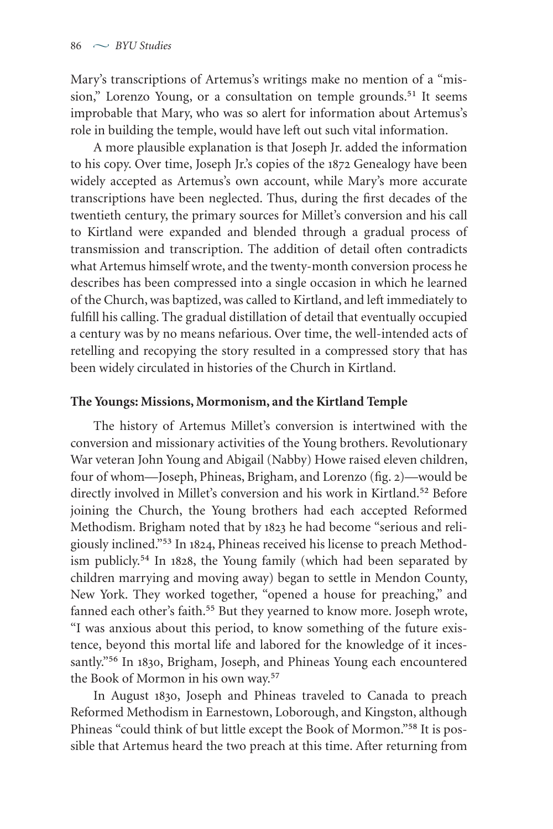Mary's transcriptions of Artemus's writings make no mention of a "mission," Lorenzo Young, or a consultation on temple grounds.<sup>51</sup> It seems improbable that Mary, who was so alert for information about Artemus's role in building the temple, would have left out such vital information.

A more plausible explanation is that Joseph Jr. added the information to his copy. Over time, Joseph Jr.'s copies of the 1872 Genealogy have been widely accepted as Artemus's own account, while Mary's more accurate transcriptions have been neglected. Thus, during the first decades of the twentieth century, the primary sources for Millet's conversion and his call to Kirtland were expanded and blended through a gradual process of transmission and transcription. The addition of detail often contradicts what Artemus himself wrote, and the twenty-month conversion process he describes has been compressed into a single occasion in which he learned of the Church,was baptized,was called to Kirtland, and left immediately to fulfill his calling. The gradual distillation of detail that eventually occupied a century was by no means nefarious. Over time, the well-intended acts of retelling and recopying the story resulted in a compressed story that has been widely circulated in histories of the Church in Kirtland.

### **The Youngs: Missions, Mormonism, and the Kirtland Temple**

The history of Artemus Millet's conversion is intertwined with the conversion and missionary activities of the Young brothers. Revolutionary War veteran John Young and Abigail (Nabby) Howe raised eleven children, four of whom—Joseph, Phineas, Brigham, and Lorenzo (fig. 2)—would be directly involved in Millet's conversion and his work in Kirtland.<sup>52</sup> Before joining the Church, the Young brothers had each accepted Reformed Methodism. Brigham noted that by 1823 he had become "serious and religiously inclined."<sup>53</sup> In 1824, Phineas received his license to preach Methodism publicly.<sup>54</sup> In 1828, the Young family (which had been separated by children marrying and moving away) began to settle in Mendon County, New York. They worked together, "opened a house for preaching," and fanned each other's faith.<sup>55</sup> But they yearned to know more. Joseph wrote, "I was anxious about this period, to know something of the future existence, beyond this mortal life and labored for the knowledge of it incessantly."<sup>56</sup> In 1830, Brigham, Joseph, and Phineas Young each encountered the Book of Mormon in his own way.<sup>57</sup>

In August 1830, Joseph and Phineas traveled to Canada to preach Reformed Methodism in Earnestown, Loborough, and Kingston, although Phineas "could think of but little except the Book of Mormon."<sup>58</sup> It is possible that Artemus heard the two preach at this time. After returning from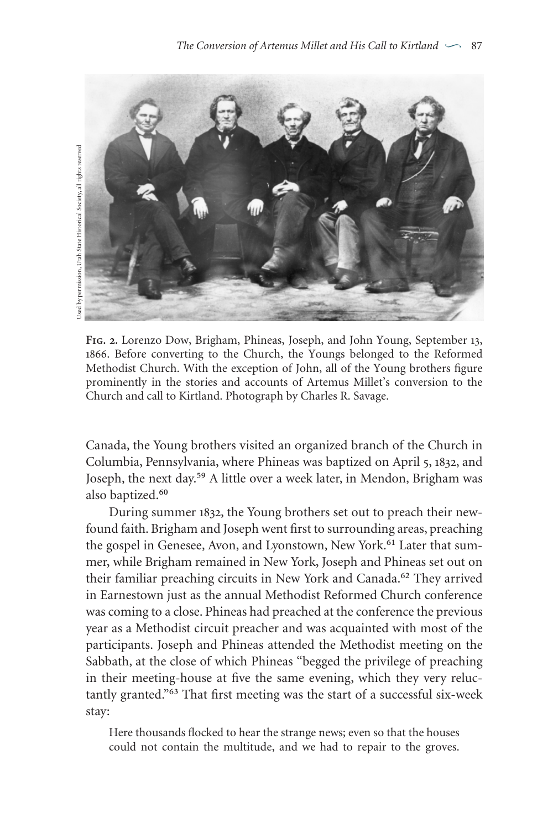

FIG. 2. Lorenzo Dow, Brigham, Phineas, Joseph, and John Young, September 13, . Before converting to the Church, the Youngs belonged to the Reformed Methodist Church. With the exception of John, all of the Young brothers figure prominently in the stories and accounts of Artemus Millet's conversion to the Church and call to Kirtland. Photograph by Charles R. Savage.

Canada, the Young brothers visited an organized branch of the Church in Columbia, Pennsylvania, where Phineas was baptized on April 5, 1832, and Joseph, the next day.<sup>59</sup> A little over a week later, in Mendon, Brigham was also baptized.<sup>60</sup>

During summer 1832, the Young brothers set out to preach their newfound faith. Brigham and Joseph went first to surrounding areas, preaching the gospel in Genesee, Avon, and Lyonstown, New York.<sup>61</sup> Later that summer, while Brigham remained in New York, Joseph and Phineas set out on their familiar preaching circuits in New York and Canada.<sup>62</sup> They arrived in Earnestown just as the annual Methodist Reformed Church conference was coming to a close. Phineas had preached at the conference the previous year as a Methodist circuit preacher and was acquainted with most of the participants. Joseph and Phineas attended the Methodist meeting on the Sabbath, at the close of which Phineas "begged the privilege of preaching in their meeting-house at five the same evening, which they very reluctantly granted."<sup>63</sup> That first meeting was the start of a successful six-week stay:

Here thousands flocked to hear the strange news; even so that the houses could not contain the multitude, and we had to repair to the groves.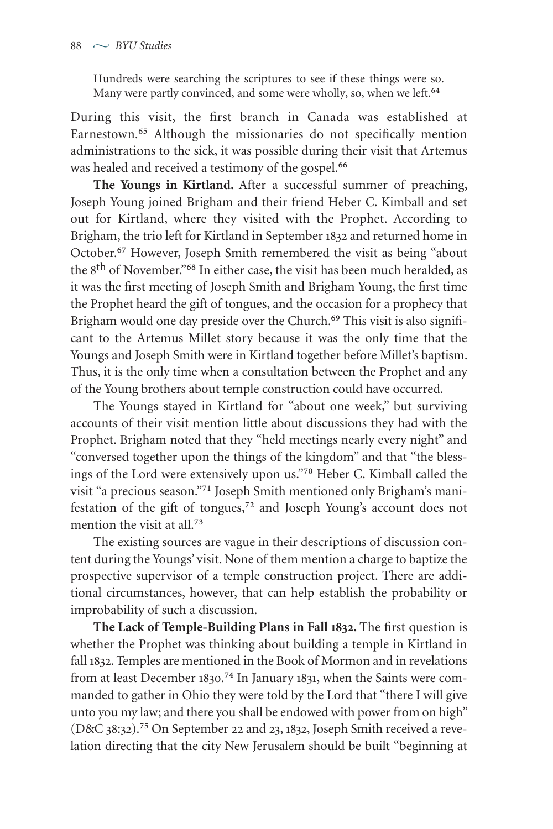Hundreds were searching the scriptures to see if these things were so. Many were partly convinced, and some were wholly, so, when we left.<sup>64</sup>

During this visit, the first branch in Canada was established at Earnestown.<sup>65</sup> Although the missionaries do not specifically mention administrations to the sick, it was possible during their visit that Artemus was healed and received a testimony of the gospel.<sup>66</sup>

**The Youngs in Kirtland.** After a successful summer of preaching, Joseph Young joined Brigham and their friend Heber C. Kimball and set out for Kirtland, where they visited with the Prophet. According to Brigham, the trio left for Kirtland in September 1832 and returned home in October.<sup>67</sup> However, Joseph Smith remembered the visit as being "about the 8<sup>th</sup> of November."<sup>68</sup> In either case, the visit has been much heralded, as it was the first meeting of Joseph Smith and Brigham Young, the first time the Prophet heard the gift of tongues, and the occasion for a prophecy that Brigham would one day preside over the Church.<sup>69</sup> This visit is also significant to the Artemus Millet story because it was the only time that the Youngs and Joseph Smith were in Kirtland together before Millet's baptism. Thus, it is the only time when a consultation between the Prophet and any of the Young brothers about temple construction could have occurred.

The Youngs stayed in Kirtland for "about one week," but surviving accounts of their visit mention little about discussions they had with the Prophet. Brigham noted that they "held meetings nearly every night" and "conversed together upon the things of the kingdom" and that "the blessings of the Lord were extensively upon us."<sup>70</sup> Heber C. Kimball called the visit "a precious season."<sup>71</sup> Joseph Smith mentioned only Brigham's manifestation of the gift of tongues,<sup>72</sup> and Joseph Young's account does not mention the visit at all.<sup>73</sup>

The existing sources are vague in their descriptions of discussion content during the Youngs' visit. None of them mention a charge to baptize the prospective supervisor of a temple construction project. There are additional circumstances, however, that can help establish the probability or improbability of such a discussion.

**The Lack of Temple-Building Plans in Fall .** The first question is whether the Prophet was thinking about building a temple in Kirtland in fall 1832. Temples are mentioned in the Book of Mormon and in revelations from at least December 1830.<sup>74</sup> In January 1831, when the Saints were commanded to gather in Ohio they were told by the Lord that "there I will give unto you my law; and there you shall be endowed with power from on high" (D&C 38:32).<sup>75</sup> On September 22 and 23, 1832, Joseph Smith received a revelation directing that the city New Jerusalem should be built "beginning at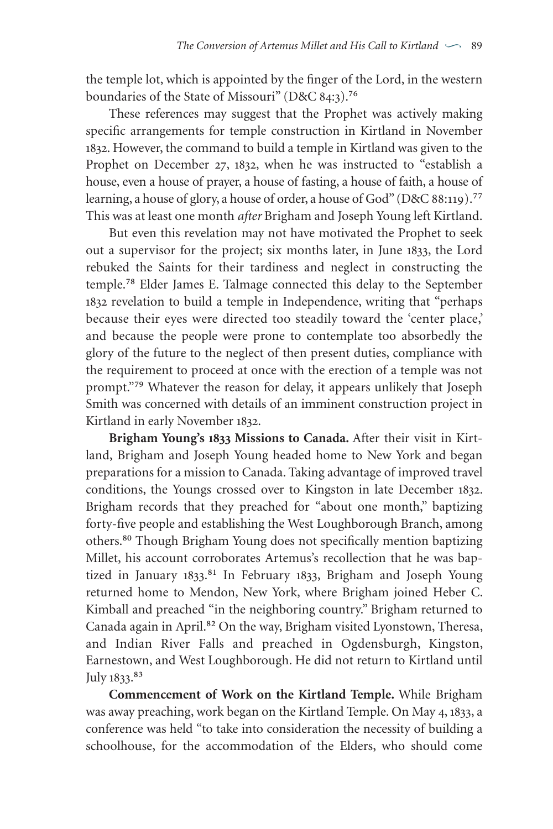the temple lot, which is appointed by the finger of the Lord, in the western boundaries of the State of Missouri" (D&C 84:3).<sup>76</sup>

These references may suggest that the Prophet was actively making specific arrangements for temple construction in Kirtland in November . However, the command to build a temple in Kirtland was given to the Prophet on December 27, 1832, when he was instructed to "establish a house, even a house of prayer, a house of fasting, a house of faith, a house of learning, a house of glory, a house of order, a house of God" (D&C 88:119).<sup>77</sup> This was at least one month *after* Brigham and Joseph Young left Kirtland.

But even this revelation may not have motivated the Prophet to seek out a supervisor for the project; six months later, in June 1833, the Lord rebuked the Saints for their tardiness and neglect in constructing the temple.<sup>78</sup> Elder James E. Talmage connected this delay to the September 1832 revelation to build a temple in Independence, writing that "perhaps because their eyes were directed too steadily toward the 'center place,' and because the people were prone to contemplate too absorbedly the glory of the future to the neglect of then present duties, compliance with the requirement to proceed at once with the erection of a temple was not prompt."<sup>79</sup> Whatever the reason for delay, it appears unlikely that Joseph Smith was concerned with details of an imminent construction project in Kirtland in early November 1832.

**Brigham Young's 1833 Missions to Canada.** After their visit in Kirtland, Brigham and Joseph Young headed home to New York and began preparations for a mission to Canada. Taking advantage of improved travel conditions, the Youngs crossed over to Kingston in late December 1832. Brigham records that they preached for "about one month," baptizing forty-five people and establishing the West Loughborough Branch, among others. ₈₀ Though Brigham Young does not specifically mention baptizing Millet, his account corroborates Artemus's recollection that he was baptized in January 1833.<sup>81</sup> In February 1833, Brigham and Joseph Young returned home to Mendon, New York, where Brigham joined Heber C. Kimball and preached "in the neighboring country." Brigham returned to Canada again in April.<sup>82</sup> On the way, Brigham visited Lyonstown, Theresa, and Indian River Falls and preached in Ogdensburgh, Kingston, Earnestown, and West Loughborough. He did not return to Kirtland until July 1833.<sup>83</sup>

**Commencement of Work on the Kirtland Temple.** While Brigham was away preaching, work began on the Kirtland Temple. On May 4, 1833, a conference was held "to take into consideration the necessity of building a schoolhouse, for the accommodation of the Elders, who should come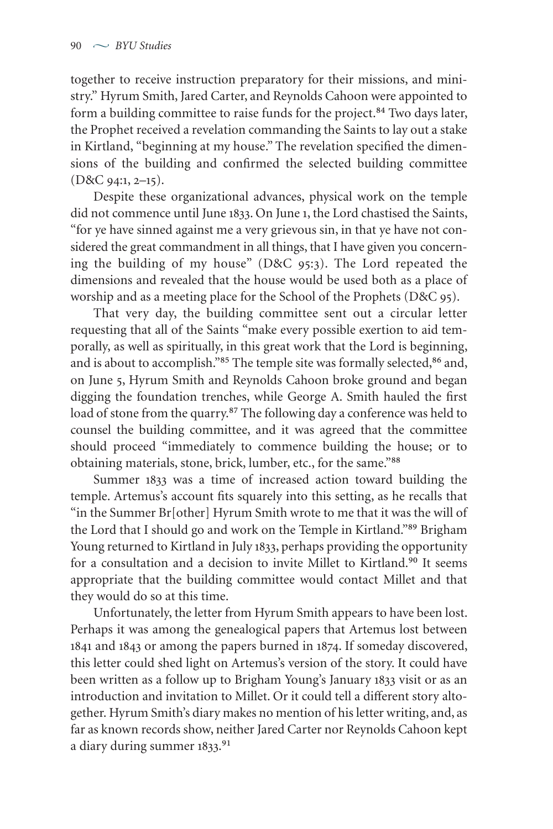together to receive instruction preparatory for their missions, and ministry." Hyrum Smith, Jared Carter, and Reynolds Cahoon were appointed to form a building committee to raise funds for the project.<sup>84</sup> Two days later, the Prophet received a revelation commanding the Saints to lay out a stake in Kirtland, "beginning at my house." The revelation specified the dimensions of the building and confirmed the selected building committee  $(D&C$  94:1, 2-15).

Despite these organizational advances, physical work on the temple did not commence until June 1833. On June 1, the Lord chastised the Saints, "for ye have sinned against me a very grievous sin, in that ye have not considered the great commandment in all things, that I have given you concerning the building of my house" (D&C 95:3). The Lord repeated the dimensions and revealed that the house would be used both as a place of worship and as a meeting place for the School of the Prophets (D&C 95).

That very day, the building committee sent out a circular letter requesting that all of the Saints "make every possible exertion to aid temporally, as well as spiritually, in this great work that the Lord is beginning, and is about to accomplish."85 The temple site was formally selected, 86 and, on June 5, Hyrum Smith and Reynolds Cahoon broke ground and began digging the foundation trenches, while George A. Smith hauled the first load of stone from the quarry.<sup>87</sup> The following day a conference was held to counsel the building committee, and it was agreed that the committee should proceed "immediately to commence building the house; or to obtaining materials, stone, brick, lumber, etc., for the same."<sup>88</sup>

Summer 1833 was a time of increased action toward building the temple. Artemus's account fits squarely into this setting, as he recalls that "in the Summer Br[other] Hyrum Smith wrote to me that it was the will of the Lord that I should go and work on the Temple in Kirtland."<sup>89</sup> Brigham Young returned to Kirtland in July 1833, perhaps providing the opportunity for a consultation and a decision to invite Millet to Kirtland.<sup>90</sup> It seems appropriate that the building committee would contact Millet and that they would do so at this time.

Unfortunately, the letter from Hyrum Smith appears to have been lost. Perhaps it was among the genealogical papers that Artemus lost between 1841 and 1843 or among the papers burned in 1874. If someday discovered, this letter could shed light on Artemus's version of the story. It could have been written as a follow up to Brigham Young's January 1833 visit or as an introduction and invitation to Millet. Or it could tell a different story altogether. Hyrum Smith's diary makes no mention of his letter writing, and, as far as known records show, neither Jared Carter nor Reynolds Cahoon kept a diary during summer 1833.91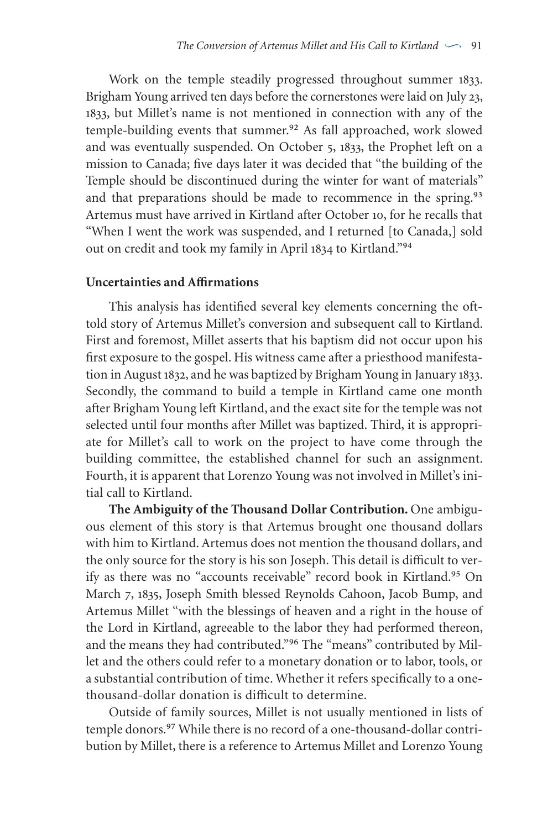Work on the temple steadily progressed throughout summer 1833. Brigham Young arrived ten days before the cornerstones were laid on July 23, 1833, but Millet's name is not mentioned in connection with any of the temple-building events that summer.<sup>92</sup> As fall approached, work slowed and was eventually suspended. On October 5, 1833, the Prophet left on a mission to Canada; five days later it was decided that "the building of the Temple should be discontinued during the winter for want of materials" and that preparations should be made to recommence in the spring.<sup>93</sup> Artemus must have arrived in Kirtland after October 10, for he recalls that "When I went the work was suspended, and I returned [to Canada,] sold out on credit and took my family in April 1834 to Kirtland."<sup>94</sup>

#### **Uncertainties and Affirmations**

This analysis has identified several key elements concerning the ofttold story of Artemus Millet's conversion and subsequent call to Kirtland. First and foremost, Millet asserts that his baptism did not occur upon his first exposure to the gospel. His witness came after a priesthood manifestation in August 1832, and he was baptized by Brigham Young in January 1833. Secondly, the command to build a temple in Kirtland came one month after Brigham Young left Kirtland, and the exact site for the temple was not selected until four months after Millet was baptized. Third, it is appropriate for Millet's call to work on the project to have come through the building committee, the established channel for such an assignment. Fourth, it is apparent that Lorenzo Young was not involved in Millet's initial call to Kirtland.

**The Ambiguity of the Thousand Dollar Contribution.** One ambiguous element of this story is that Artemus brought one thousand dollars with him to Kirtland. Artemus does not mention the thousand dollars, and the only source for the story is his son Joseph. This detail is difficult to verify as there was no "accounts receivable" record book in Kirtland.<sup>95</sup> On March 7, 1835, Joseph Smith blessed Reynolds Cahoon, Jacob Bump, and Artemus Millet "with the blessings of heaven and a right in the house of the Lord in Kirtland, agreeable to the labor they had performed thereon, and the means they had contributed."<sup>96</sup> The "means" contributed by Millet and the others could refer to a monetary donation or to labor, tools, or a substantial contribution of time. Whether it refers specifically to a onethousand-dollar donation is difficult to determine.

Outside of family sources, Millet is not usually mentioned in lists of temple donors.<sup>97</sup> While there is no record of a one-thousand-dollar contribution by Millet, there is a reference to Artemus Millet and Lorenzo Young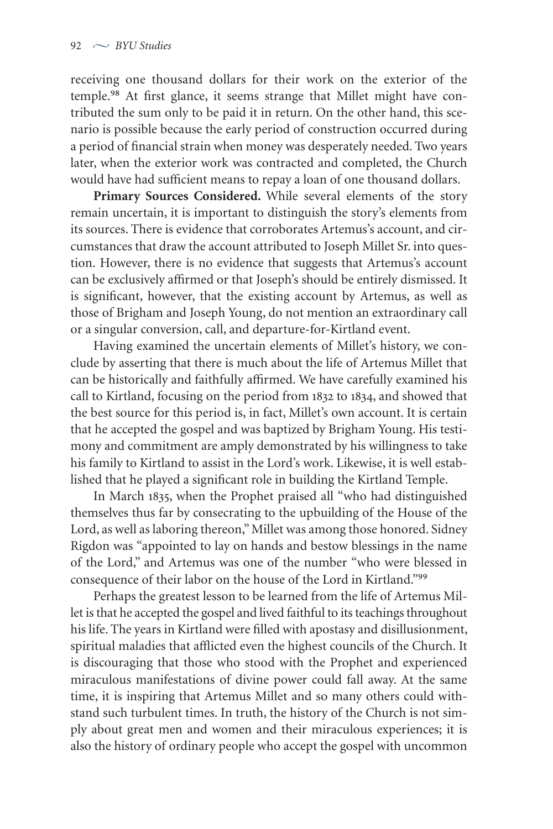receiving one thousand dollars for their work on the exterior of the temple.<sup>98</sup> At first glance, it seems strange that Millet might have contributed the sum only to be paid it in return. On the other hand, this scenario is possible because the early period of construction occurred during a period of financial strain when money was desperately needed. Two years later, when the exterior work was contracted and completed, the Church would have had sufficient means to repay a loan of one thousand dollars.

**Primary Sources Considered.** While several elements of the story remain uncertain, it is important to distinguish the story's elements from its sources. There is evidence that corroborates Artemus's account, and circumstances that draw the account attributed to Joseph Millet Sr. into question. However, there is no evidence that suggests that Artemus's account can be exclusively affirmed or that Joseph's should be entirely dismissed. It is significant, however, that the existing account by Artemus, as well as those of Brigham and Joseph Young, do not mention an extraordinary call or a singular conversion, call, and departure-for-Kirtland event.

Having examined the uncertain elements of Millet's history, we conclude by asserting that there is much about the life of Artemus Millet that can be historically and faithfully affirmed. We have carefully examined his call to Kirtland, focusing on the period from 1832 to 1834, and showed that the best source for this period is, in fact, Millet's own account. It is certain that he accepted the gospel and was baptized by Brigham Young. His testimony and commitment are amply demonstrated by his willingness to take his family to Kirtland to assist in the Lord's work. Likewise, it is well established that he played a significant role in building the Kirtland Temple.

In March 1835, when the Prophet praised all "who had distinguished themselves thus far by consecrating to the upbuilding of the House of the Lord, as well as laboring thereon,"Millet was among those honored. Sidney Rigdon was "appointed to lay on hands and bestow blessings in the name of the Lord," and Artemus was one of the number "who were blessed in consequence of their labor on the house of the Lord in Kirtland."<sup>99</sup>

Perhaps the greatest lesson to be learned from the life of Artemus Millet is that he accepted the gospel and lived faithful to its teachings throughout his life. The years in Kirtland were filled with apostasy and disillusionment, spiritual maladies that afflicted even the highest councils of the Church. It is discouraging that those who stood with the Prophet and experienced miraculous manifestations of divine power could fall away. At the same time, it is inspiring that Artemus Millet and so many others could withstand such turbulent times. In truth, the history of the Church is not simply about great men and women and their miraculous experiences; it is also the history of ordinary people who accept the gospel with uncommon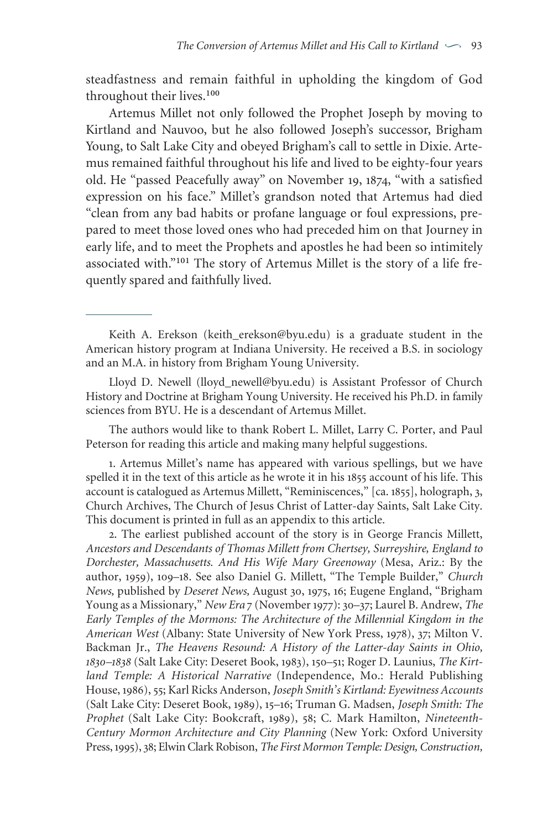steadfastness and remain faithful in upholding the kingdom of God throughout their lives.<sup>100</sup>

Artemus Millet not only followed the Prophet Joseph by moving to Kirtland and Nauvoo, but he also followed Joseph's successor, Brigham Young, to Salt Lake City and obeyed Brigham's call to settle in Dixie. Artemus remained faithful throughout his life and lived to be eighty-four years old. He "passed Peacefully away" on November 19, 1874, "with a satisfied expression on his face." Millet's grandson noted that Artemus had died "clean from any bad habits or profane language or foul expressions, prepared to meet those loved ones who had preceded him on that Journey in early life, and to meet the Prophets and apostles he had been so intimitely associated with."<sup>101</sup> The story of Artemus Millet is the story of a life frequently spared and faithfully lived.

Lloyd D. Newell (lloyd\_newell@byu.edu) is Assistant Professor of Church History and Doctrine at Brigham Young University. He received his Ph.D. in family sciences from BYU. He is a descendant of Artemus Millet.

The authors would like to thank Robert L. Millet, Larry C. Porter, and Paul Peterson for reading this article and making many helpful suggestions.

. Artemus Millet's name has appeared with various spellings, but we have spelled it in the text of this article as he wrote it in his 1855 account of his life. This account is catalogued as Artemus Millett, "Reminiscences," [ca. 1855], holograph, 3, Church Archives, The Church of Jesus Christ of Latter-day Saints, Salt Lake City. This document is printed in full as an appendix to this article.

. The earliest published account of the story is in George Francis Millett, *Ancestors and Descendants of Thomas Millett from Chertsey, Surreyshire, England to Dorchester, Massachusetts. And His Wife Mary Greenoway* (Mesa, Ariz.: By the author, 1959), 109-18. See also Daniel G. Millett, "The Temple Builder," *Church News, published by Deseret News, August 30, 1975, 16; Eugene England, "Brigham* Young as a Missionary," *New Era* 7 (November 1977): 30-37; Laurel B. Andrew, *The Early Temples of the Mormons: The Architecture of the Millennial Kingdom in the* American West (Albany: State University of New York Press, 1978), 37; Milton V. Backman Jr., *The Heavens Resound: A History of the Latter-day Saints in Ohio,* 1830-1838 (Salt Lake City: Deseret Book, 1983), 150-51; Roger D. Launius, *The Kirtland Temple: A Historical Narrative* (Independence, Mo.: Herald Publishing House, ),; Karl Ricks Anderson, *Joseph Smith's Kirtland: Eyewitness Accounts* (Salt Lake City: Deseret Book, 1989), 15-16; Truman G. Madsen, *Joseph Smith: The* Prophet (Salt Lake City: Bookcraft, 1989), 58; C. Mark Hamilton, *Nineteenth-Century Mormon Architecture and City Planning* (New York: Oxford University Press,),; ElwinClark Robison, *The First Mormon Temple: Design, Construction,*

Keith A. Erekson (keith\_erekson@byu.edu) is a graduate student in the American history program at Indiana University. He received a B.S. in sociology and an M.A. in history from Brigham Young University.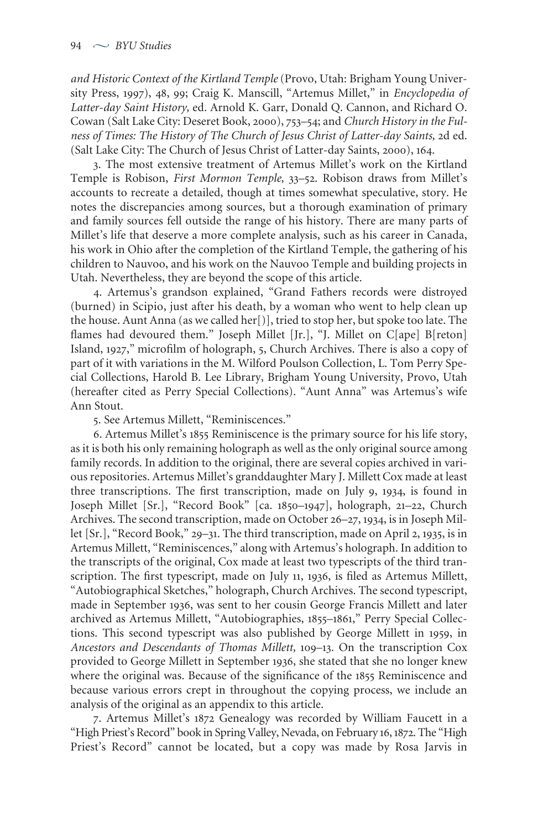*and Historic Context of the Kirtland Temple* (Provo, Utah: Brigham Young University Press, 1997), 48, 99; Craig K. Manscill, "Artemus Millet," in *Encyclopedia of Latter-day Saint History,* ed. Arnold K. Garr, Donald Q. Cannon, and Richard O. Cowan (Salt Lake City: Deseret Book, 2000), 753-54; and *Church History in the Fulness of Times: The History of The Church of Jesus Christ of Latter-day Saints,* d ed. (Salt Lake City: The Church of Jesus Christ of Latter-day Saints, 2000), 164.

. The most extensive treatment of Artemus Millet's work on the Kirtland Temple is Robison, *First Mormon Temple*, 33–52. Robison draws from Millet's accounts to recreate a detailed, though at times somewhat speculative, story. He notes the discrepancies among sources, but a thorough examination of primary and family sources fell outside the range of his history. There are many parts of Millet's life that deserve a more complete analysis, such as his career in Canada, his work in Ohio after the completion of the Kirtland Temple, the gathering of his children to Nauvoo, and his work on the Nauvoo Temple and building projects in Utah. Nevertheless, they are beyond the scope of this article.

. Artemus's grandson explained, "Grand Fathers records were distroyed (burned) in Scipio, just after his death, by a woman who went to help clean up the house. Aunt Anna (as we called her[)], tried to stop her, but spoke too late. The flames had devoured them." Joseph Millet [Jr.], "J. Millet on C[ape] B[reton] Island, 1927," microfilm of holograph, 5, Church Archives. There is also a copy of part of it with variations in the M. Wilford Poulson Collection, L. Tom Perry Special Collections, Harold B. Lee Library, Brigham Young University, Provo, Utah (hereafter cited as Perry Special Collections). "Aunt Anna" was Artemus's wife Ann Stout.

. See Artemus Millett, "Reminiscences."

6. Artemus Millet's 1855 Reminiscence is the primary source for his life story, as it is both his only remaining holograph as well as the only original source among family records. In addition to the original, there are several copies archived in various repositories. Artemus Millet's granddaughter Mary J. Millett Cox made at least three transcriptions. The first transcription, made on July 9, 1934, is found in Joseph Millet [Sr.], "Record Book" [ca. 1850–1947], holograph, 21–22, Church Archives. The second transcription, made on October 26–27, 1934, is in Joseph Millet [Sr.], "Record Book," 29-31. The third transcription, made on April 2, 1935, is in Artemus Millett, "Reminiscences," along with Artemus's holograph. In addition to the transcripts of the original, Cox made at least two typescripts of the third transcription. The first typescript, made on July 11, 1936, is filed as Artemus Millett, "Autobiographical Sketches," holograph, Church Archives. The second typescript, made in September 1936, was sent to her cousin George Francis Millett and later archived as Artemus Millett, "Autobiographies, 1855-1861," Perry Special Collections. This second typescript was also published by George Millett in 1959, in *Ancestors and Descendants of Thomas Millett,* –. On the transcription Cox provided to George Millett in September 1936, she stated that she no longer knew where the original was. Because of the significance of the 1855 Reminiscence and because various errors crept in throughout the copying process, we include an analysis of the original as an appendix to this article.

7. Artemus Millet's 1872 Genealogy was recorded by William Faucett in a "High Priest's Record" book in Spring Valley, Nevada, on February 16, 1872. The "High Priest's Record" cannot be located, but a copy was made by Rosa Jarvis in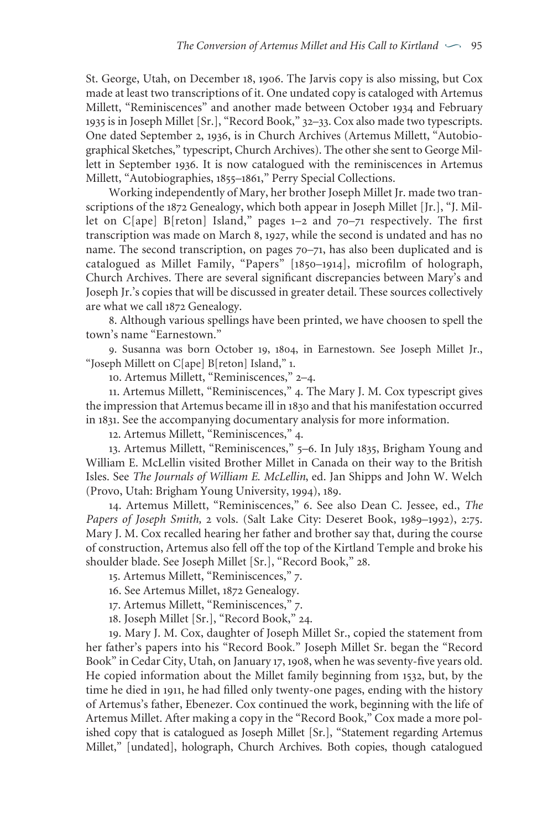St. George, Utah, on December 18, 1906. The Jarvis copy is also missing, but Cox made at least two transcriptions of it. One undated copy is cataloged with Artemus Millett, "Reminiscences" and another made between October 1934 and February 1935 is in Joseph Millet [Sr.], "Record Book," 32-33. Cox also made two typescripts. One dated September 2, 1936, is in Church Archives (Artemus Millett, "Autobiographical Sketches," typescript, Church Archives). The other she sent to George Millett in September 1936. It is now catalogued with the reminiscences in Artemus Millett, "Autobiographies, 1855–1861," Perry Special Collections.

Working independently of Mary, her brother Joseph Millet Jr. made two transcriptions of the 1872 Genealogy, which both appear in Joseph Millet [Jr.], "J. Millet on C[ape] B[reton] Island," pages  $1-2$  and  $70-71$  respectively. The first transcription was made on March 8, 1927, while the second is undated and has no name. The second transcription, on pages  $70-71$ , has also been duplicated and is catalogued as Millet Family, "Papers" [1850-1914], microfilm of holograph, Church Archives. There are several significant discrepancies between Mary's and Joseph Jr.'s copies that will be discussed in greater detail. These sources collectively are what we call 1872 Genealogy.

. Although various spellings have been printed, we have choosen to spell the town's name "Earnestown."

9. Susanna was born October 19, 1804, in Earnestown. See Joseph Millet Jr., "Joseph Millett on C[ape] B[reton] Island," .

10. Artemus Millett, "Reminiscences," 2-4.

11. Artemus Millett, "Reminiscences," 4. The Mary J. M. Cox typescript gives the impression that Artemus became ill in 1830 and that his manifestation occurred in 1831. See the accompanying documentary analysis for more information.

12. Artemus Millett, "Reminiscences," 4.

13. Artemus Millett, "Reminiscences," 5–6. In July 1835, Brigham Young and William E. McLellin visited Brother Millet in Canada on their way to the British Isles. See *The Journals of William E. McLellin*, ed. Jan Shipps and John W. Welch (Provo, Utah: Brigham Young University, 1994), 189.

14. Artemus Millett, "Reminiscences," 6. See also Dean C. Jessee, ed., *The Papers* of *Joseph Smith*, 2 vols. (Salt Lake City: Deseret Book, 1989-1992), 2:75. Mary J. M. Cox recalled hearing her father and brother say that, during the course of construction, Artemus also fell off the top of the Kirtland Temple and broke his shoulder blade. See Joseph Millet [Sr.], "Record Book," 28.

15. Artemus Millett, "Reminiscences," 7.

16. See Artemus Millet, 1872 Genealogy.

17. Artemus Millett, "Reminiscences," 7.

18. Joseph Millet [Sr.], "Record Book," 24.

. Mary J. M. Cox, daughter of Joseph Millet Sr., copied the statement from her father's papers into his "Record Book." Joseph Millet Sr. began the "Record Book" in Cedar City, Utah, on January 17, 1908, when he was seventy-five years old. He copied information about the Millet family beginning from 1532, but, by the time he died in 1911, he had filled only twenty-one pages, ending with the history of Artemus's father, Ebenezer. Cox continued the work, beginning with the life of Artemus Millet. After making a copy in the "Record Book," Cox made a more polished copy that is catalogued as Joseph Millet [Sr.], "Statement regarding Artemus Millet," [undated], holograph, Church Archives. Both copies, though catalogued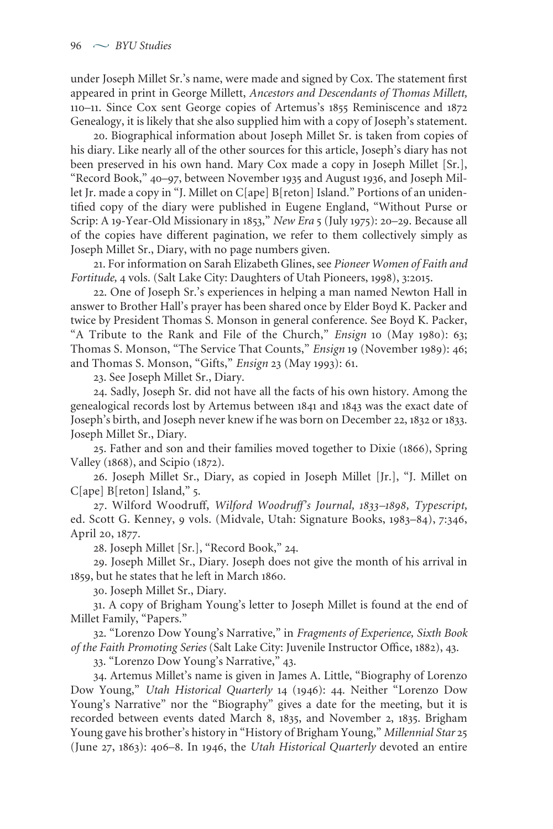under Joseph Millet Sr.'s name, were made and signed by Cox. The statement first appeared in print in George Millett, *Ancestors and Descendants of Thomas Millett,* 110-11. Since Cox sent George copies of Artemus's 1855 Reminiscence and 1872 Genealogy, it is likely that she also supplied him with a copy of Joseph's statement.

. Biographical information about Joseph Millet Sr. is taken from copies of his diary. Like nearly all of the other sources for this article, Joseph's diary has not been preserved in his own hand. Mary Cox made a copy in Joseph Millet [Sr.], "Record Book," 40-97, between November 1935 and August 1936, and Joseph Millet Jr. made a copy in "J. Millet on C[ape] B[reton] Island." Portions of an unidentified copy of the diary were published in Eugene England, "Without Purse or Scrip: A 19-Year-Old Missionary in 1853," *New Era* 5 (July 1975): 20–29. Because all of the copies have different pagination, we refer to them collectively simply as Joseph Millet Sr., Diary, with no page numbers given.

. For information on Sarah Elizabeth Glines, see *Pioneer Women of Faith and Fortitude, 4 vols.* (Salt Lake City: Daughters of Utah Pioneers, 1998), 3:2015.

. One of Joseph Sr.'s experiences in helping a man named Newton Hall in answer to Brother Hall's prayer has been shared once by Elder Boyd K. Packer and twice by President Thomas S. Monson in general conference. See Boyd K. Packer, "A Tribute to the Rank and File of the Church," *Ensign* 10 (May 1980): 63; Thomas S. Monson, "The Service That Counts," *Ensign* 19 (November 1989): 46; and Thomas S. Monson, "Gifts," *Ensign* 23 (May 1993): 61.

. See Joseph Millet Sr., Diary.

. Sadly, Joseph Sr. did not have all the facts of his own history. Among the genealogical records lost by Artemus between 1841 and 1843 was the exact date of Joseph's birth, and Joseph never knew if he was born on December 22, 1832 or 1833. Joseph Millet Sr., Diary.

25. Father and son and their families moved together to Dixie (1866), Spring Valley (1868), and Scipio (1872).

. Joseph Millet Sr., Diary, as copied in Joseph Millet [Jr.], "J. Millet on  $C[ape]$  B[reton] Island," 5.

. Wilford Woodruff, *Wilford Woodruff's Journal, –, Typescript,* ed. Scott G. Kenney, 9 vols. (Midvale, Utah: Signature Books, 1983-84), 7:346, April 20, 1877.

28. Joseph Millet [Sr.], "Record Book," 24.

. Joseph Millet Sr., Diary. Joseph does not give the month of his arrival in 1859, but he states that he left in March 1860.

. Joseph Millet Sr., Diary.

. A copy of Brigham Young's letter to Joseph Millet is found at the end of Millet Family, "Papers."

. "Lorenzo Dow Young's Narrative," in *Fragments of Experience, Sixth Book of the Faith Promoting Series* (Salt Lake City: Juvenile Instructor Office, 1882), 43.

33. "Lorenzo Dow Young's Narrative," 43.

. Artemus Millet's name is given in James A. Little, "Biography of Lorenzo Dow Young," *Utah Historical Quarterly* 14 (1946): 44. Neither "Lorenzo Dow Young's Narrative" nor the "Biography" gives a date for the meeting, but it is recorded between events dated March 8, 1835, and November 2, 1835. Brigham Young gave his brother's history in "History of Brigham Young," *Millennial Star* (June 27, 1863): 406-8. In 1946, the *Utah Historical Quarterly* devoted an entire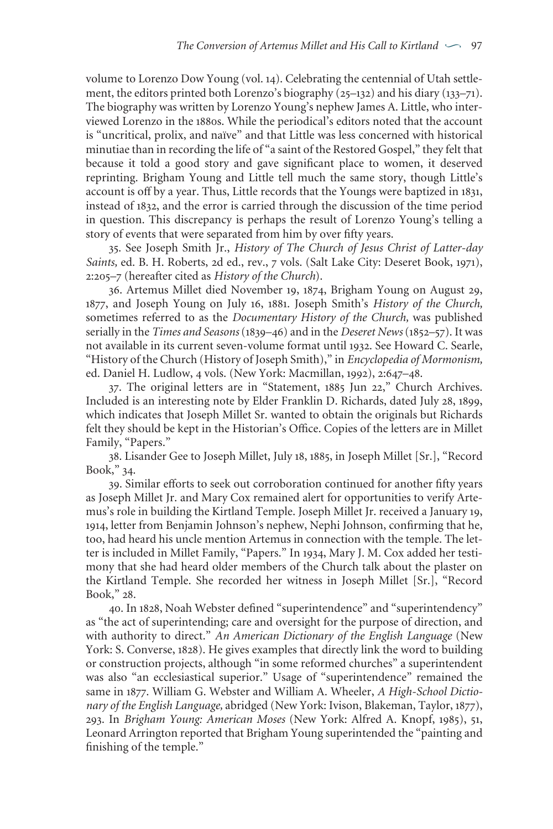volume to Lorenzo Dow Young (vol. 14). Celebrating the centennial of Utah settlement, the editors printed both Lorenzo's biography  $(25-132)$  and his diary  $(133-71)$ . The biography was written by Lorenzo Young's nephew James A. Little, who interviewed Lorenzo in the 1880s. While the periodical's editors noted that the account is "uncritical, prolix, and naïve" and that Little was less concerned with historical minutiae than in recording the life of "a saint of the Restored Gospel," they felt that because it told a good story and gave significant place to women, it deserved reprinting. Brigham Young and Little tell much the same story, though Little's account is off by a year. Thus, Little records that the Youngs were baptized in 1831, instead of 1832, and the error is carried through the discussion of the time period in question. This discrepancy is perhaps the result of Lorenzo Young's telling a story of events that were separated from him by over fifty years.

. See Joseph Smith Jr., *History of The Church of Jesus Christ of Latter-day* Saints, ed. B. H. Roberts, 2d ed., rev., 7 vols. (Salt Lake City: Deseret Book, 1971), :– (hereafter cited as *History of the Church*).

36. Artemus Millet died November 19, 1874, Brigham Young on August 29, 1877, and Joseph Young on July 16, 1881. Joseph Smith's *History of the Church*, sometimes referred to as the *Documentary History of the Church,* was published serially in the *Times and Seasons* (1839–46) and in the *Deseret News* (1852–57). It was not available in its current seven-volume format until 1932. See Howard C. Searle, "History of the Church (History of Joseph Smith)," in *Encyclopedia of Mormonism,* ed. Daniel H. Ludlow, 4 vols. (New York: Macmillan, 1992), 2:647-48.

37. The original letters are in "Statement, 1885 Jun 22," Church Archives. Included is an interesting note by Elder Franklin D. Richards, dated July 28, 1899, which indicates that Joseph Millet Sr. wanted to obtain the originals but Richards felt they should be kept in the Historian's Office. Copies of the letters are in Millet Family, "Papers."

38. Lisander Gee to Joseph Millet, July 18, 1885, in Joseph Millet [Sr.], "Record Book," 34.

. Similar efforts to seek out corroboration continued for another fifty years as Joseph Millet Jr. and Mary Cox remained alert for opportunities to verify Artemus's role in building the Kirtland Temple. Joseph Millet Jr. received a January 19, , letter from Benjamin Johnson's nephew, Nephi Johnson, confirming that he, too, had heard his uncle mention Artemus in connection with the temple. The letter is included in Millet Family, "Papers." In 1934, Mary J. M. Cox added her testimony that she had heard older members of the Church talk about the plaster on the Kirtland Temple. She recorded her witness in Joseph Millet [Sr.], "Record Book," 28.

40. In 1828, Noah Webster defined "superintendence" and "superintendency" as "the act of superintending; care and oversight for the purpose of direction, and with authority to direct." *An American Dictionary of the English Language* (New York: S. Converse, 1828). He gives examples that directly link the word to building or construction projects, although "in some reformed churches" a superintendent was also "an ecclesiastical superior." Usage of "superintendence" remained the same in 1877. William G. Webster and William A. Wheeler, *A High-School Dictionary* of the English Language, abridged (New York: Ivison, Blakeman, Taylor, 1877), 293. In *Brigham Young: American Moses* (New York: Alfred A. Knopf, 1985), 51, Leonard Arrington reported that Brigham Young superintended the "painting and finishing of the temple."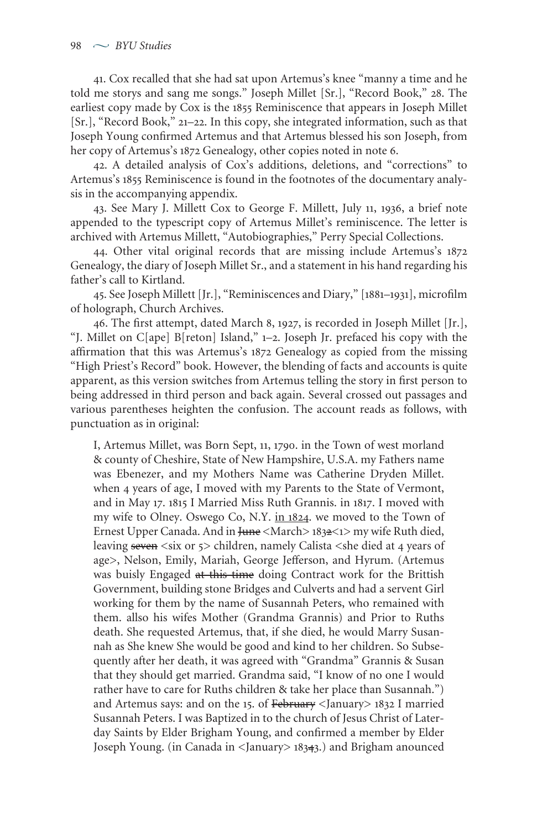. Cox recalled that she had sat upon Artemus's knee "manny a time and he told me storys and sang me songs." Joseph Millet [Sr.], "Record Book," 28. The earliest copy made by Cox is the 1855 Reminiscence that appears in Joseph Millet [Sr.], "Record Book," 21-22. In this copy, she integrated information, such as that Joseph Young confirmed Artemus and that Artemus blessed his son Joseph, from her copy of Artemus's 1872 Genealogy, other copies noted in note 6.

. A detailed analysis of Cox's additions, deletions, and "corrections" to Artemus's 1855 Reminiscence is found in the footnotes of the documentary analysis in the accompanying appendix.

43. See Mary J. Millett Cox to George F. Millett, July 11, 1936, a brief note appended to the typescript copy of Artemus Millet's reminiscence. The letter is archived with Artemus Millett, "Autobiographies," Perry Special Collections.

. Other vital original records that are missing include Artemus's Genealogy, the diary of Joseph Millet Sr., and a statement in his hand regarding his father's call to Kirtland.

45. See Joseph Millett [Jr.], "Reminiscences and Diary," [1881–1931], microfilm of holograph, Church Archives.

46. The first attempt, dated March 8, 1927, is recorded in Joseph Millet [Jr.], "J. Millet on C[ape] B[reton] Island,"  $1-2$ . Joseph Jr. prefaced his copy with the affirmation that this was Artemus's 1872 Genealogy as copied from the missing "High Priest's Record" book. However, the blending of facts and accounts is quite apparent, as this version switches from Artemus telling the story in first person to being addressed in third person and back again. Several crossed out passages and various parentheses heighten the confusion. The account reads as follows, with punctuation as in original:

I, Artemus Millet, was Born Sept, 11, 1790. in the Town of west morland & county of Cheshire, State of New Hampshire, U.S.A. my Fathers name was Ebenezer, and my Mothers Name was Catherine Dryden Millet. when 4 years of age, I moved with my Parents to the State of Vermont, and in May 17. 1815 I Married Miss Ruth Grannis. in 1817. I moved with my wife to Olney. Oswego Co, N.Y. in 1824. we moved to the Town of Ernest Upper Canada. And in June <March> 1832<1> my wife Ruth died, leaving seven <six or  $5$  children, namely Calista <she died at 4 years of age>, Nelson, Emily, Mariah, George Jefferson, and Hyrum. (Artemus was buisly Engaged at this time doing Contract work for the Brittish Government, building stone Bridges and Culverts and had a servent Girl working for them by the name of Susannah Peters, who remained with them. allso his wifes Mother (Grandma Grannis) and Prior to Ruths death. She requested Artemus, that, if she died, he would Marry Susannah as She knew She would be good and kind to her children. So Subsequently after her death, it was agreed with "Grandma" Grannis & Susan that they should get married. Grandma said, "I know of no one I would rather have to care for Ruths children & take her place than Susannah.") and Artemus says: and on the 15. of February <January > 1832 I married Susannah Peters. I was Baptized in to the church of Jesus Christ of Laterday Saints by Elder Brigham Young, and confirmed a member by Elder Joseph Young. (in Canada in <January> 18343.) and Brigham anounced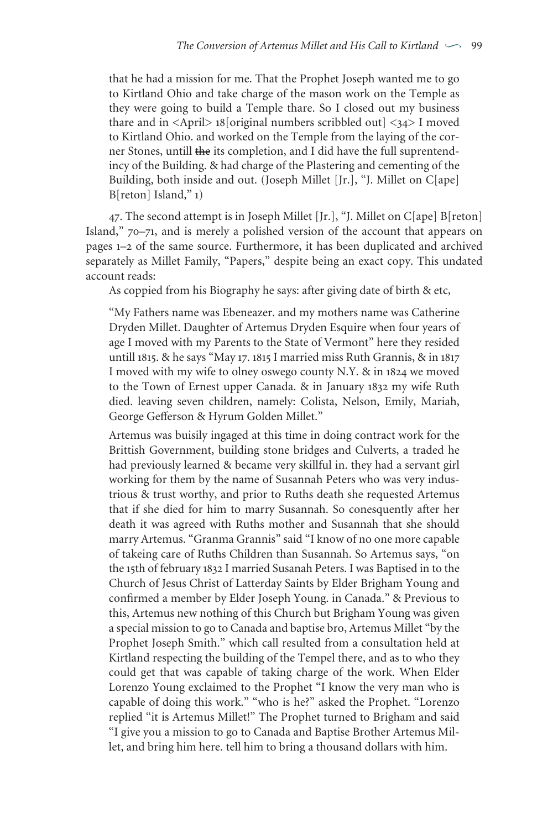that he had a mission for me. That the Prophet Joseph wanted me to go to Kirtland Ohio and take charge of the mason work on the Temple as they were going to build a Temple thare. So I closed out my business thare and in  $\langle$ April $>$  18[original numbers scribbled out]  $\langle$ 34 $>$  I moved to Kirtland Ohio. and worked on the Temple from the laying of the corner Stones, untill the its completion, and I did have the full suprentendincy of the Building. & had charge of the Plastering and cementing of the Building, both inside and out. (Joseph Millet [Jr.], "J. Millet on C[ape]  $B[reton]$  Island," 1)

. The second attempt is in Joseph Millet [Jr.], "J. Millet on C[ape] B[reton] Island,"  $70-71$ , and is merely a polished version of the account that appears on pages 1-2 of the same source. Furthermore, it has been duplicated and archived separately as Millet Family, "Papers," despite being an exact copy. This undated account reads:

As coppied from his Biography he says: after giving date of birth & etc,

"My Fathers name was Ebeneazer. and my mothers name was Catherine Dryden Millet. Daughter of Artemus Dryden Esquire when four years of age I moved with my Parents to the State of Vermont" here they resided untill 1815. & he says "May 17. 1815 I married miss Ruth Grannis, & in 1817 I moved with my wife to olney oswego county N.Y.  $\&$  in 1824 we moved to the Town of Ernest upper Canada. & in January 1832 my wife Ruth died. leaving seven children, namely: Colista, Nelson, Emily, Mariah, George Gefferson & Hyrum Golden Millet."

Artemus was buisily ingaged at this time in doing contract work for the Brittish Government, building stone bridges and Culverts, a traded he had previously learned & became very skillful in. they had a servant girl working for them by the name of Susannah Peters who was very industrious & trust worthy, and prior to Ruths death she requested Artemus that if she died for him to marry Susannah. So conesquently after her death it was agreed with Ruths mother and Susannah that she should marry Artemus. "Granma Grannis" said "I know of no one more capable of takeing care of Ruths Children than Susannah. So Artemus says, "on the 15th of february 1832 I married Susanah Peters. I was Baptised in to the Church of Jesus Christ of Latterday Saints by Elder Brigham Young and confirmed a member by Elder Joseph Young. in Canada." & Previous to this, Artemus new nothing of this Church but Brigham Young was given a special mission to go to Canada and baptise bro, Artemus Millet "by the Prophet Joseph Smith." which call resulted from a consultation held at Kirtland respecting the building of the Tempel there, and as to who they could get that was capable of taking charge of the work. When Elder Lorenzo Young exclaimed to the Prophet "I know the very man who is capable of doing this work." "who is he?" asked the Prophet. "Lorenzo replied "it is Artemus Millet!" The Prophet turned to Brigham and said "I give you a mission to go to Canada and Baptise Brother Artemus Millet, and bring him here. tell him to bring a thousand dollars with him.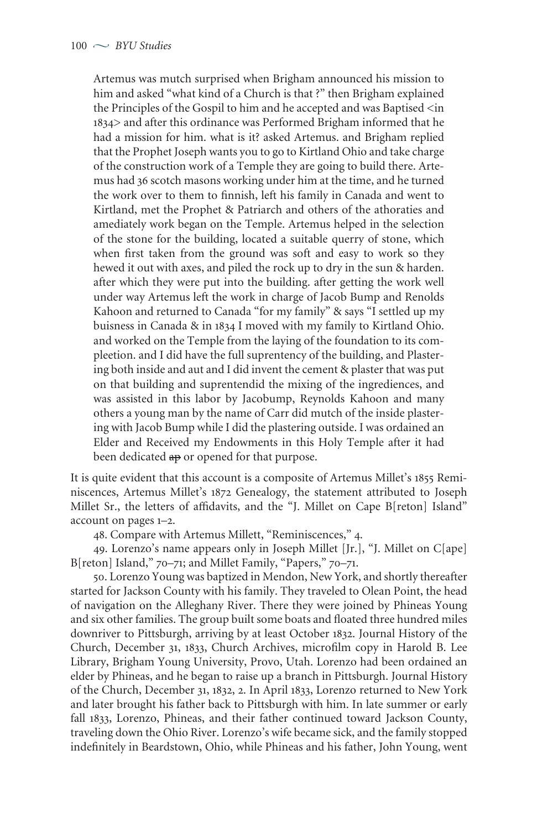Artemus was mutch surprised when Brigham announced his mission to him and asked "what kind of a Church is that ?" then Brigham explained the Principles of the Gospil to him and he accepted and was Baptised  $\langle$ in > and after this ordinance was Performed Brigham informed that he had a mission for him. what is it? asked Artemus. and Brigham replied that the Prophet Joseph wants you to go to Kirtland Ohio and take charge of the construction work of a Temple they are going to build there. Artemus had 36 scotch masons working under him at the time, and he turned the work over to them to finnish, left his family in Canada and went to Kirtland, met the Prophet & Patriarch and others of the athoraties and amediately work began on the Temple. Artemus helped in the selection of the stone for the building, located a suitable querry of stone, which when first taken from the ground was soft and easy to work so they hewed it out with axes, and piled the rock up to dry in the sun & harden. after which they were put into the building. after getting the work well under way Artemus left the work in charge of Jacob Bump and Renolds Kahoon and returned to Canada "for my family" & says "I settled up my buisness in Canada & in  $1834$  I moved with my family to Kirtland Ohio. and worked on the Temple from the laying of the foundation to its compleetion. and I did have the full suprentency of the building, and Plastering both inside and aut and I did invent the cement & plaster that was put on that building and suprentendid the mixing of the ingrediences, and was assisted in this labor by Jacobump, Reynolds Kahoon and many others a young man by the name of Carr did mutch of the inside plastering with Jacob Bump while I did the plastering outside. I was ordained an Elder and Received my Endowments in this Holy Temple after it had been dedicated  $\theta$  or opened for that purpose.

It is quite evident that this account is a composite of Artemus Millet's 1855 Reminiscences, Artemus Millet's 1872 Genealogy, the statement attributed to Joseph Millet Sr., the letters of affidavits, and the "J. Millet on Cape B[reton] Island" account on pages  $1-2$ .

48. Compare with Artemus Millett, "Reminiscences," 4.

. Lorenzo's name appears only in Joseph Millet [Jr.], "J. Millet on C[ape] B[reton] Island," 70-71; and Millet Family, "Papers," 70-71.

. Lorenzo Young was baptized in Mendon, New York, and shortly thereafter started for Jackson County with his family. They traveled to Olean Point, the head of navigation on the Alleghany River. There they were joined by Phineas Young and six other families. The group built some boats and floated three hundred miles downriver to Pittsburgh, arriving by at least October 1832. Journal History of the Church, December 31, 1833, Church Archives, microfilm copy in Harold B. Lee Library, Brigham Young University, Provo, Utah. Lorenzo had been ordained an elder by Phineas, and he began to raise up a branch in Pittsburgh. Journal History of the Church, December 31, 1832, 2. In April 1833, Lorenzo returned to New York and later brought his father back to Pittsburgh with him. In late summer or early fall 1833, Lorenzo, Phineas, and their father continued toward Jackson County, traveling down the Ohio River. Lorenzo's wife became sick, and the family stopped indefinitely in Beardstown, Ohio, while Phineas and his father, John Young, went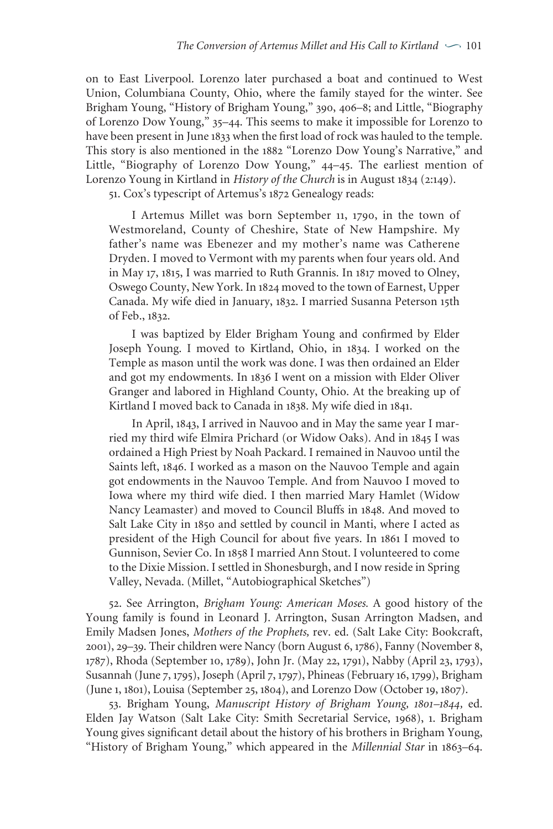on to East Liverpool. Lorenzo later purchased a boat and continued to West Union, Columbiana County, Ohio, where the family stayed for the winter. See Brigham Young, "History of Brigham Young," 390, 406–8; and Little, "Biography of Lorenzo Dow Young," 35-44. This seems to make it impossible for Lorenzo to have been present in June 1833 when the first load of rock was hauled to the temple. This story is also mentioned in the 1882 "Lorenzo Dow Young's Narrative," and Little, "Biography of Lorenzo Dow Young," 44-45. The earliest mention of Lorenzo Young in Kirtland in *History of the Church* is in August 1834 (2:149).

51. Cox's typescript of Artemus's 1872 Genealogy reads:

I Artemus Millet was born September 11, 1790, in the town of Westmoreland, County of Cheshire, State of New Hampshire. My father's name was Ebenezer and my mother's name was Catherene Dryden. I moved to Vermont with my parents when four years old. And in May 17, 1815, I was married to Ruth Grannis. In 1817 moved to Olney, Oswego County, New York. In 1824 moved to the town of Earnest, Upper Canada. My wife died in January, 1832. I married Susanna Peterson 15th of Feb., 1832.

I was baptized by Elder Brigham Young and confirmed by Elder Joseph Young. I moved to Kirtland, Ohio, in 1834. I worked on the Temple as mason until the work was done. I was then ordained an Elder and got my endowments. In 1836 I went on a mission with Elder Oliver Granger and labored in Highland County, Ohio. At the breaking up of Kirtland I moved back to Canada in 1838. My wife died in 1841.

In April, 1843, I arrived in Nauvoo and in May the same year I married my third wife Elmira Prichard (or Widow Oaks). And in 1845 I was ordained a High Priest by Noah Packard. I remained in Nauvoo until the Saints left, 1846. I worked as a mason on the Nauvoo Temple and again got endowments in the Nauvoo Temple. And from Nauvoo I moved to Iowa where my third wife died. I then married Mary Hamlet (Widow Nancy Leamaster) and moved to Council Bluffs in 1848. And moved to Salt Lake City in 1850 and settled by council in Manti, where I acted as president of the High Council for about five years. In 1861 I moved to Gunnison, Sevier Co. In 1858 I married Ann Stout. I volunteered to come to the Dixie Mission. I settled in Shonesburgh, and I now reside in Spring Valley, Nevada. (Millet, "Autobiographical Sketches")

. See Arrington, *Brigham Young: American Moses.* A good history of the Young family is found in Leonard J. Arrington, Susan Arrington Madsen, and Emily Madsen Jones, *Mothers of the Prophets,* rev. ed. (Salt Lake City: Bookcraft, 2001), 29-39. Their children were Nancy (born August 6, 1786), Fanny (November 8, 1787), Rhoda (September 10, 1789), John Jr. (May 22, 1791), Nabby (April 23, 1793), Susannah (June 7, 1795), Joseph (April 7, 1797), Phineas (February 16, 1799), Brigham (June 1, 1801), Louisa (September 25, 1804), and Lorenzo Dow (October 19, 1807).

53. Brigham Young, *Manuscript History of Brigham Young*, 1801–1844, ed. Elden Jay Watson (Salt Lake City: Smith Secretarial Service, 1968), 1. Brigham Young gives significant detail about the history of his brothers in Brigham Young, "History of Brigham Young," which appeared in the *Millennial Star* in 1863-64.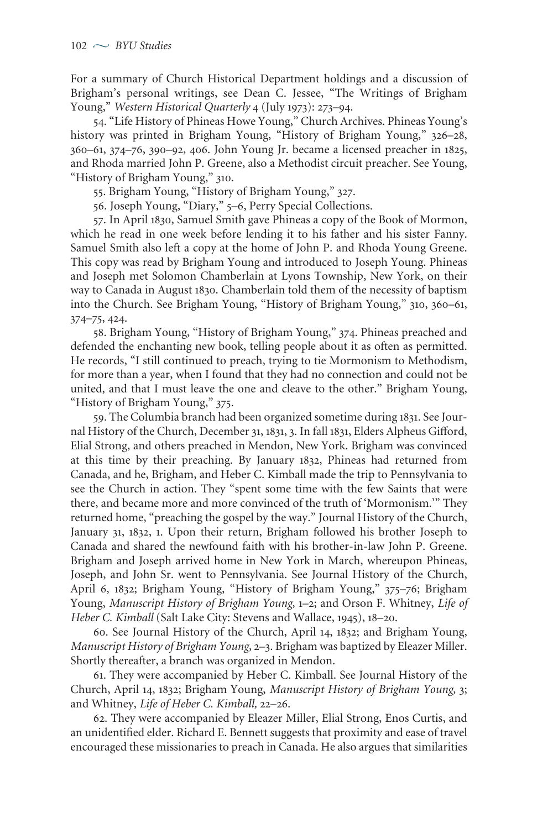For a summary of Church Historical Department holdings and a discussion of Brigham's personal writings, see Dean C. Jessee, "The Writings of Brigham Young," Western Historical Quarterly 4 (July 1973): 273-94.

. "Life History of Phineas Howe Young," Church Archives. Phineas Young's history was printed in Brigham Young, "History of Brigham Young," 326-28, 360-61, 374-76, 390-92, 406. John Young Jr. became a licensed preacher in 1825, and Rhoda married John P. Greene, also a Methodist circuit preacher. See Young, "History of Brigham Young," 310.

55. Brigham Young, "History of Brigham Young," 327.

56. Joseph Young, "Diary," 5-6, Perry Special Collections.

57. In April 1830, Samuel Smith gave Phineas a copy of the Book of Mormon, which he read in one week before lending it to his father and his sister Fanny. Samuel Smith also left a copy at the home of John P. and Rhoda Young Greene. This copy was read by Brigham Young and introduced to Joseph Young. Phineas and Joseph met Solomon Chamberlain at Lyons Township, New York, on their way to Canada in August 1830. Chamberlain told them of the necessity of baptism into the Church. See Brigham Young, "History of Brigham Young," 310, 360-61,  $374 - 75, 424.$ 

58. Brigham Young, "History of Brigham Young," 374. Phineas preached and defended the enchanting new book, telling people about it as often as permitted. He records, "I still continued to preach, trying to tie Mormonism to Methodism, for more than a year, when I found that they had no connection and could not be united, and that I must leave the one and cleave to the other." Brigham Young, "History of Brigham Young," 375.

59. The Columbia branch had been organized sometime during 1831. See Journal History of the Church, December 31, 1831, 3. In fall 1831, Elders Alpheus Gifford, Elial Strong, and others preached in Mendon, New York. Brigham was convinced at this time by their preaching. By January 1832, Phineas had returned from Canada, and he, Brigham, and Heber C. Kimball made the trip to Pennsylvania to see the Church in action. They "spent some time with the few Saints that were there, and became more and more convinced of the truth of 'Mormonism.'" They returned home, "preaching the gospel by the way." Journal History of the Church, January 31, 1832, 1. Upon their return, Brigham followed his brother Joseph to Canada and shared the newfound faith with his brother-in-law John P. Greene. Brigham and Joseph arrived home in New York in March, whereupon Phineas, Joseph, and John Sr. went to Pennsylvania. See Journal History of the Church, April 6, 1832; Brigham Young, "History of Brigham Young," 375-76; Brigham Young, *Manuscript History of Brigham Young*, 1-2; and Orson F. Whitney, Life of *Heber C. Kimball* (Salt Lake City: Stevens and Wallace, 1945), 18-20.

60. See Journal History of the Church, April 14, 1832; and Brigham Young, *Manuscript History of Brigham Young, 2*-3. Brigham was baptized by Eleazer Miller. Shortly thereafter, a branch was organized in Mendon.

. They were accompanied by Heber C. Kimball. See Journal History of the Church, April 14, 1832; Brigham Young, *Manuscript History of Brigham Young*, 3; and Whitney, Life of Heber C. Kimball, 22-26.

. They were accompanied by Eleazer Miller, Elial Strong, Enos Curtis, and an unidentified elder. Richard E. Bennett suggests that proximity and ease of travel encouraged these missionaries to preach in Canada. He also argues that similarities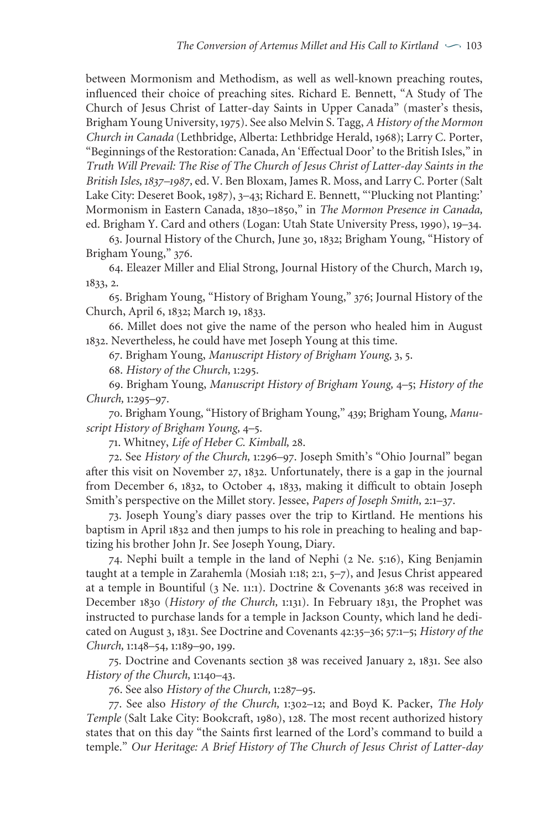between Mormonism and Methodism, as well as well-known preaching routes, influenced their choice of preaching sites. Richard E. Bennett, "A Study of The Church of Jesus Christ of Latter-day Saints in Upper Canada" (master's thesis, Brigham Young University, ). See also Melvin S. Tagg, *A History of the Mormon Church in Canada* (Lethbridge, Alberta: Lethbridge Herald, ); Larry C. Porter, "Beginnings of the Restoration: Canada, An 'Effectual Door' to the British Isles," in *Truth Will Prevail: The Rise of The Church of Jesus Christ of Latter-day Saints in the British Isles, –,* ed. V. Ben Bloxam, James R. Moss, and Larry C. Porter (Salt Lake City: Deseret Book, 1987), 3-43; Richard E. Bennett, "'Plucking not Planting:' Mormonism in Eastern Canada, 1830-1850," in *The Mormon Presence in Canada*, ed. Brigham Y. Card and others (Logan: Utah State University Press, 1990), 19–34.

63. Journal History of the Church, June 30, 1832; Brigham Young, "History of Brigham Young," 376.

64. Eleazer Miller and Elial Strong, Journal History of the Church, March 19, 1833, 2.

65. Brigham Young, "History of Brigham Young," 376; Journal History of the Church, April 6, 1832; March 19, 1833.

. Millet does not give the name of the person who healed him in August . Nevertheless, he could have met Joseph Young at this time.

67. Brigham Young, Manuscript History of Brigham Young, 3, 5.

. *History of the Church,* :.

. Brigham Young, *Manuscript History of Brigham Young,* –; *History of the Church*, 1:295–97.

70. Brigham Young, "History of Brigham Young," 439; Brigham Young, Manu*script History of Brigham Young*, 4–5.

. Whitney, *Life of Heber C. Kimball,* .

72. See *History of the Church*, 1:296–97. Joseph Smith's "Ohio Journal" began after this visit on November 27, 1832. Unfortunately, there is a gap in the journal from December 6, 1832, to October 4, 1833, making it difficult to obtain Joseph Smith's perspective on the Millet story. Jessee, *Papers of Joseph Smith*, 2:1-37.

. Joseph Young's diary passes over the trip to Kirtland. He mentions his baptism in April 1832 and then jumps to his role in preaching to healing and baptizing his brother John Jr. See Joseph Young, Diary.

74. Nephi built a temple in the land of Nephi (2 Ne. 5:16), King Benjamin taught at a temple in Zarahemla (Mosiah 1:18; 2:1, 5-7), and Jesus Christ appeared at a temple in Bountiful (3 Ne. 11:1). Doctrine & Covenants 36:8 was received in December 1830 (*History of the Church*, 1:131). In February 1831, the Prophet was instructed to purchase lands for a temple in Jackson County, which land he dedicated on August 3, 1831. See Doctrine and Covenants 42:35-36; 57:1-5; *History of the Church*,  $1:148-54$ ,  $1:189-90$ ,  $199$ .

75. Doctrine and Covenants section 38 was received January 2, 1831. See also *History of the Church*, 1:140–43.

76. See also *History* of the *Church*, 1:287-95.

. See also *History of the Church,* :–; and Boyd K. Packer, *The Holy Temple* (Salt Lake City: Bookcraft, 1980), 128. The most recent authorized history states that on this day "the Saints first learned of the Lord's command to build a temple." *Our Heritage: A Brief History of The Church of Jesus Christ of Latter-day*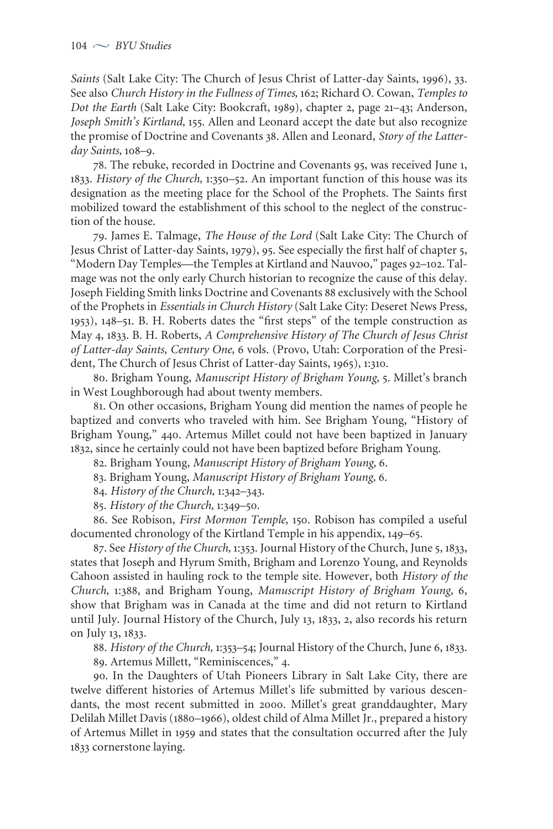*Saints* (Salt Lake City: The Church of Jesus Christ of Latter-day Saints, 1996), 33. See also *Church History in the Fullness of Times,* ; Richard O. Cowan, *Temples to Dot the Earth* (Salt Lake City: Bookcraft, 1989), chapter 2, page 21-43; Anderson, *Joseph Smith's Kirtland*, 155. Allen and Leonard accept the date but also recognize the promise of Doctrine and Covenants 38. Allen and Leonard, *Story of the Latterday Saints*, 108-9.

78. The rebuke, recorded in Doctrine and Covenants 95, was received June 1, 1833. *History of the Church*, 1:350–52. An important function of this house was its designation as the meeting place for the School of the Prophets. The Saints first mobilized toward the establishment of this school to the neglect of the construction of the house.

. James E. Talmage, *The House of the Lord* (Salt Lake City: The Church of Jesus Christ of Latter-day Saints, 1979), 95. See especially the first half of chapter 5, "Modern Day Temples—the Temples at Kirtland and Nauvoo," pages 92-102. Talmage was not the only early Church historian to recognize the cause of this delay. Joseph Fielding Smith links Doctrine and Covenants 88 exclusively with the School of the Prophets in *Essentials in Church History* (Salt Lake City: Deseret News Press, 1953), 148-51. B. H. Roberts dates the "first steps" of the temple construction as May , . B. H. Roberts, *A Comprehensive History of The Church of Jesus Christ of Latter-day Saints, Century One,* vols. (Provo, Utah: Corporation of the President, The Church of Jesus Christ of Latter-day Saints, 1965), 1:310.

. Brigham Young, *Manuscript History of Brigham Young,* . Millet's branch in West Loughborough had about twenty members.

. On other occasions, Brigham Young did mention the names of people he baptized and converts who traveled with him. See Brigham Young, "History of Brigham Young," 440. Artemus Millet could not have been baptized in January 1832, since he certainly could not have been baptized before Brigham Young.

. Brigham Young, *Manuscript History of Brigham Young,* .

. Brigham Young, *Manuscript History of Brigham Young,* .

84. *History* of the *Church*, 1:342-343.

85. *History* of the *Church*, 1:349–50.

. See Robison, *First Mormon Temple,* . Robison has compiled a useful documented chronology of the Kirtland Temple in his appendix, 149–65.

87. See History of the Church, 1:353. Journal History of the Church, June 5, 1833, states that Joseph and Hyrum Smith, Brigham and Lorenzo Young, and Reynolds Cahoon assisted in hauling rock to the temple site. However, both *History of the Church,* :, and Brigham Young, *Manuscript History of Brigham Young,* , show that Brigham was in Canada at the time and did not return to Kirtland until July. Journal History of the Church, July 13, 1833, 2, also records his return on July 13, 1833.

88. History of the Church, 1:353-54; Journal History of the Church, June 6, 1833.

89. Artemus Millett, "Reminiscences," 4.

. In the Daughters of Utah Pioneers Library in Salt Lake City, there are twelve different histories of Artemus Millet's life submitted by various descendants, the most recent submitted in 2000. Millet's great granddaughter, Mary Delilah Millet Davis (1880-1966), oldest child of Alma Millet Jr., prepared a history of Artemus Millet in 1959 and states that the consultation occurred after the July 1833 cornerstone laying.